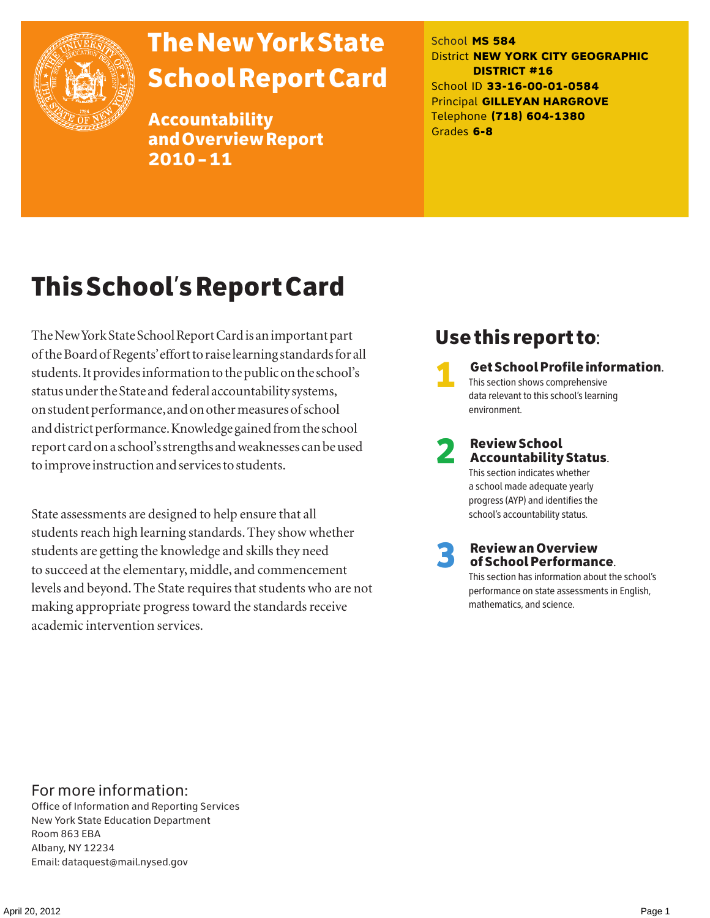

# The New York State School Report Card

Accountability and Overview Report 2010–11

School **MS 584** District **NEW YORK CITY GEOGRAPHIC DISTRICT #16** School ID **33-16-00-01-0584** Principal **GILLEYAN HARGROVE** Telephone **(718) 604-1380** Grades **6-8**

# This School's Report Card

The New York State School Report Card is an important part of the Board of Regents' effort to raise learning standards for all students. It provides information to the public on the school's status under the State and federal accountability systems, on student performance, and on other measures of school and district performance. Knowledge gained from the school report card on a school's strengths and weaknesses can be used to improve instruction and services to students.

State assessments are designed to help ensure that all students reach high learning standards. They show whether students are getting the knowledge and skills they need to succeed at the elementary, middle, and commencement levels and beyond. The State requires that students who are not making appropriate progress toward the standards receive academic intervention services.

# Use this report to:

1 Get School Profile information. This section shows comprehensive data relevant to this school's learning environment.

# 2 Review School Accountability Status.

This section indicates whether a school made adequate yearly progress (AYP) and identifies the school's accountability status.

3 Review an Overview of School Performance.

This section has information about the school's performance on state assessments in English, mathematics, and science.

### For more information:

Office of Information and Reporting Services New York State Education Department Room 863 EBA Albany, NY 12234 Email: dataquest@mail.nysed.gov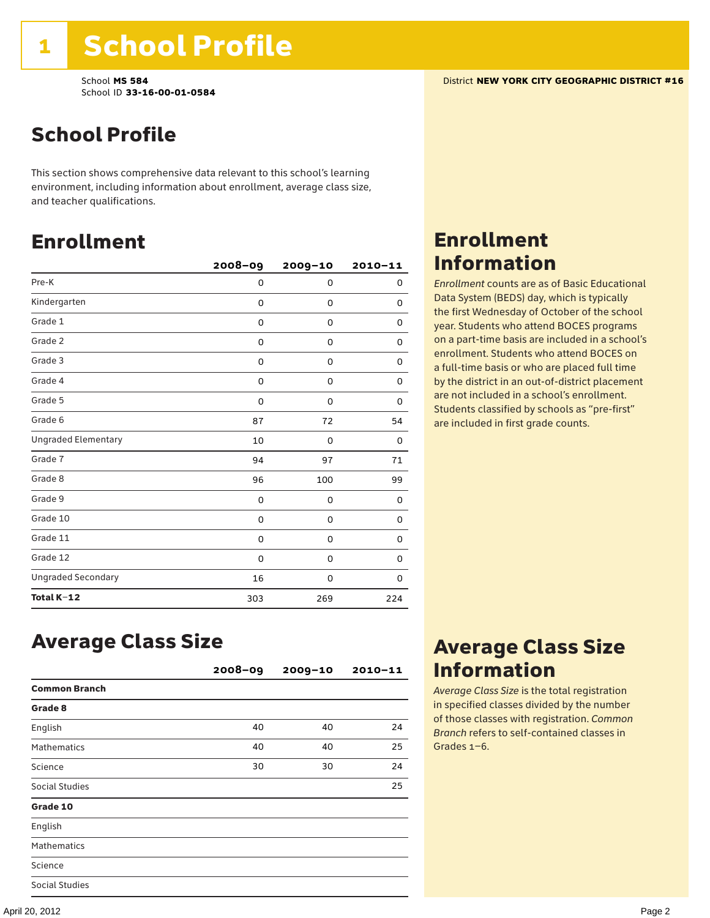This section shows comprehensive data relevant to this school's learning environment, including information about enrollment, average class size, and teacher qualifications.

# Enrollment

|                            | $2008 - 09$ | 2009-10 | $2010 - 11$ |
|----------------------------|-------------|---------|-------------|
| Pre-K                      | 0           | 0       | 0           |
| Kindergarten               | 0           | 0       | 0           |
| Grade 1                    | 0           | 0       | 0           |
| Grade 2                    | 0           | 0       | 0           |
| Grade 3                    | 0           | 0       | 0           |
| Grade 4                    | 0           | 0       | 0           |
| Grade 5                    | 0           | 0       | 0           |
| Grade 6                    | 87          | 72      | 54          |
| <b>Ungraded Elementary</b> | 10          | 0       | 0           |
| Grade 7                    | 94          | 97      | 71          |
| Grade 8                    | 96          | 100     | 99          |
| Grade 9                    | 0           | 0       | 0           |
| Grade 10                   | 0           | 0       | 0           |
| Grade 11                   | 0           | 0       | 0           |
| Grade 12                   | 0           | 0       | 0           |
| <b>Ungraded Secondary</b>  | 16          | 0       | 0           |
| Total K-12                 | 303         | 269     | 224         |

### Enrollment Information

*Enrollment* counts are as of Basic Educational Data System (BEDS) day, which is typically the first Wednesday of October of the school year. Students who attend BOCES programs on a part-time basis are included in a school's enrollment. Students who attend BOCES on a full-time basis or who are placed full time by the district in an out-of-district placement are not included in a school's enrollment. Students classified by schools as "pre-first" are included in first grade counts.

### Average Class Size

|                      | $2008 - 09$ | $2009 - 10$ | $2010 - 11$ |
|----------------------|-------------|-------------|-------------|
| <b>Common Branch</b> |             |             |             |
| Grade 8              |             |             |             |
| English              | 40          | 40          | 24          |
| <b>Mathematics</b>   | 40          | 40          | 25          |
| Science              | 30          | 30          | 24          |
| Social Studies       |             |             | 25          |
| Grade 10             |             |             |             |
| English              |             |             |             |
| <b>Mathematics</b>   |             |             |             |
| Science              |             |             |             |
| Social Studies       |             |             |             |

### Average Class Size Information

*Average Class Size* is the total registration in specified classes divided by the number of those classes with registration. *Common Branch* refers to self-contained classes in Grades 1–6.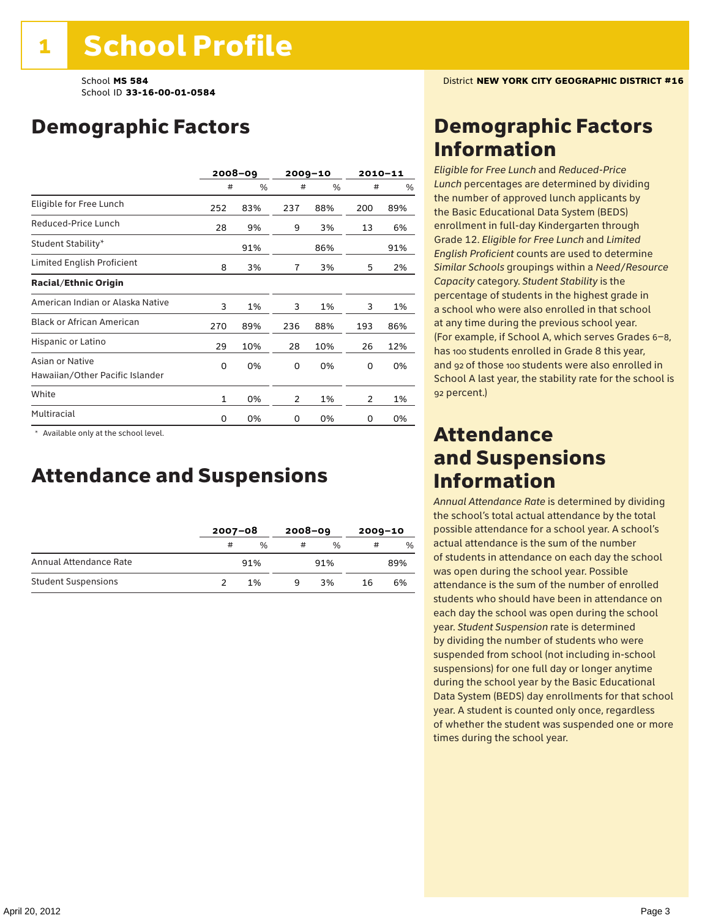# Demographic Factors

|                                                    |              | $2008 - 09$ | $2009 - 10$ |     |     | $2010 - 11$ |
|----------------------------------------------------|--------------|-------------|-------------|-----|-----|-------------|
|                                                    | #            | %           | #           | %   | #   | %           |
| Eligible for Free Lunch                            | 252          | 83%         | 237         | 88% | 200 | 89%         |
| Reduced-Price Lunch                                | 28           | 9%          | 9           | 3%  | 13  | 6%          |
| Student Stability*                                 |              | 91%         |             | 86% |     | 91%         |
| Limited English Proficient                         | 8            | 3%          | 7           | 3%  | 5   | 2%          |
| <b>Racial/Ethnic Origin</b>                        |              |             |             |     |     |             |
| American Indian or Alaska Native                   | 3            | 1%          | 3           | 1%  | 3   | 1%          |
| <b>Black or African American</b>                   | 270          | 89%         | 236         | 88% | 193 | 86%         |
| Hispanic or Latino                                 | 29           | 10%         | 28          | 10% | 26  | 12%         |
| Asian or Native<br>Hawaiian/Other Pacific Islander | 0            | 0%          | 0           | 0%  | 0   | 0%          |
| White                                              | $\mathbf{1}$ | 0%          | 2           | 1%  | 2   | 1%          |
| Multiracial                                        | 0            | 0%          | 0           | 0%  | 0   | 0%          |

 \* Available only at the school level.

### Attendance and Suspensions

|                            |   | $2007 - 08$   |   | $2008 - 09$   |    | $2009 - 10$ |  |
|----------------------------|---|---------------|---|---------------|----|-------------|--|
|                            | # | $\frac{0}{0}$ | # | $\frac{0}{6}$ | #  | %           |  |
| Annual Attendance Rate     |   | 91%           |   | 91%           |    | 89%         |  |
| <b>Student Suspensions</b> |   | 1%            | q | 3%            | 16 | 6%          |  |

## Demographic Factors Information

*Eligible for Free Lunch* and *Reduced*-*Price Lunch* percentages are determined by dividing the number of approved lunch applicants by the Basic Educational Data System (BEDS) enrollment in full-day Kindergarten through Grade 12. *Eligible for Free Lunch* and *Limited English Proficient* counts are used to determine *Similar Schools* groupings within a *Need*/*Resource Capacity* category. *Student Stability* is the percentage of students in the highest grade in a school who were also enrolled in that school at any time during the previous school year. (For example, if School A, which serves Grades 6–8, has 100 students enrolled in Grade 8 this year, and 92 of those 100 students were also enrolled in School A last year, the stability rate for the school is 92 percent.)

### Attendance and Suspensions Information

*Annual Attendance Rate* is determined by dividing the school's total actual attendance by the total possible attendance for a school year. A school's actual attendance is the sum of the number of students in attendance on each day the school was open during the school year. Possible attendance is the sum of the number of enrolled students who should have been in attendance on each day the school was open during the school year. *Student Suspension* rate is determined by dividing the number of students who were suspended from school (not including in-school suspensions) for one full day or longer anytime during the school year by the Basic Educational Data System (BEDS) day enrollments for that school year. A student is counted only once, regardless of whether the student was suspended one or more times during the school year.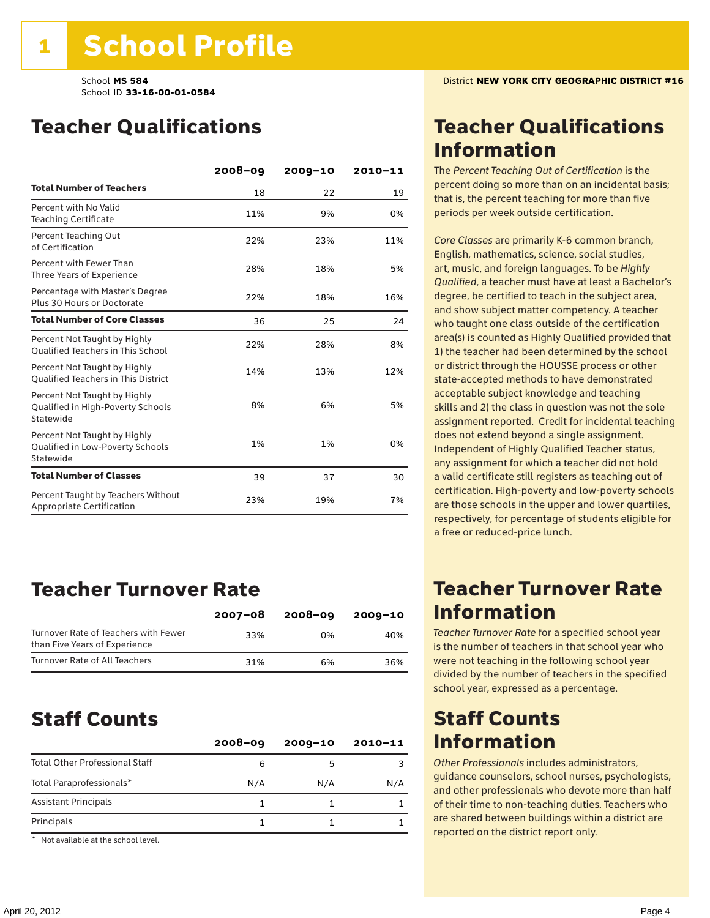# Teacher Qualifications

|                                                                                | 2008-09 | $2009 - 10$ | 2010-11 |
|--------------------------------------------------------------------------------|---------|-------------|---------|
| <b>Total Number of Teachers</b>                                                | 18      | 22          | 19      |
| Percent with No Valid<br><b>Teaching Certificate</b>                           | 11%     | 9%          | 0%      |
| Percent Teaching Out<br>of Certification                                       | 22%     | 23%         | 11%     |
| Percent with Fewer Than<br>Three Years of Experience                           | 28%     | 18%         | 5%      |
| Percentage with Master's Degree<br>Plus 30 Hours or Doctorate                  | 22%     | 18%         | 16%     |
| <b>Total Number of Core Classes</b>                                            | 36      | 25          | 24      |
| Percent Not Taught by Highly<br><b>Oualified Teachers in This School</b>       | 22%     | 28%         | 8%      |
| Percent Not Taught by Highly<br><b>Oualified Teachers in This District</b>     | 14%     | 13%         | 12%     |
| Percent Not Taught by Highly<br>Qualified in High-Poverty Schools<br>Statewide | 8%      | 6%          | 5%      |
| Percent Not Taught by Highly<br>Qualified in Low-Poverty Schools<br>Statewide  | 1%      | 1%          | 0%      |
| <b>Total Number of Classes</b>                                                 | 39      | 37          | 30      |
| Percent Taught by Teachers Without<br>Appropriate Certification                | 23%     | 19%         | 7%      |

### Teacher Turnover Rate

|                                                                       | $2007 - 08$ | 2008-09 | 2009-10 |
|-----------------------------------------------------------------------|-------------|---------|---------|
| Turnover Rate of Teachers with Fewer<br>than Five Years of Experience | 33%         | በ%      | 40%     |
| Turnover Rate of All Teachers                                         | 31%         | 6%      | 36%     |

### Staff Counts

|                                       | $2008 - 09$ | $2009 - 10$ | $2010 - 11$ |
|---------------------------------------|-------------|-------------|-------------|
| <b>Total Other Professional Staff</b> | 6           |             |             |
| Total Paraprofessionals*              | N/A         | N/A         | N/A         |
| <b>Assistant Principals</b>           |             |             |             |
| Principals                            |             |             |             |

\* Not available at the school level.

### Teacher Qualifications Information

The *Percent Teaching Out of Certification* is the percent doing so more than on an incidental basis; that is, the percent teaching for more than five periods per week outside certification.

*Core Classes* are primarily K-6 common branch, English, mathematics, science, social studies, art, music, and foreign languages. To be *Highly Qualified*, a teacher must have at least a Bachelor's degree, be certified to teach in the subject area, and show subject matter competency. A teacher who taught one class outside of the certification area(s) is counted as Highly Qualified provided that 1) the teacher had been determined by the school or district through the HOUSSE process or other state-accepted methods to have demonstrated acceptable subject knowledge and teaching skills and 2) the class in question was not the sole assignment reported. Credit for incidental teaching does not extend beyond a single assignment. Independent of Highly Qualified Teacher status, any assignment for which a teacher did not hold a valid certificate still registers as teaching out of certification. High-poverty and low-poverty schools are those schools in the upper and lower quartiles, respectively, for percentage of students eligible for a free or reduced-price lunch.

### Teacher Turnover Rate Information

*Teacher Turnover Rate* for a specified school year is the number of teachers in that school year who were not teaching in the following school year divided by the number of teachers in the specified school year, expressed as a percentage.

### Staff Counts Information

*Other Professionals* includes administrators, guidance counselors, school nurses, psychologists, and other professionals who devote more than half of their time to non-teaching duties. Teachers who are shared between buildings within a district are reported on the district report only.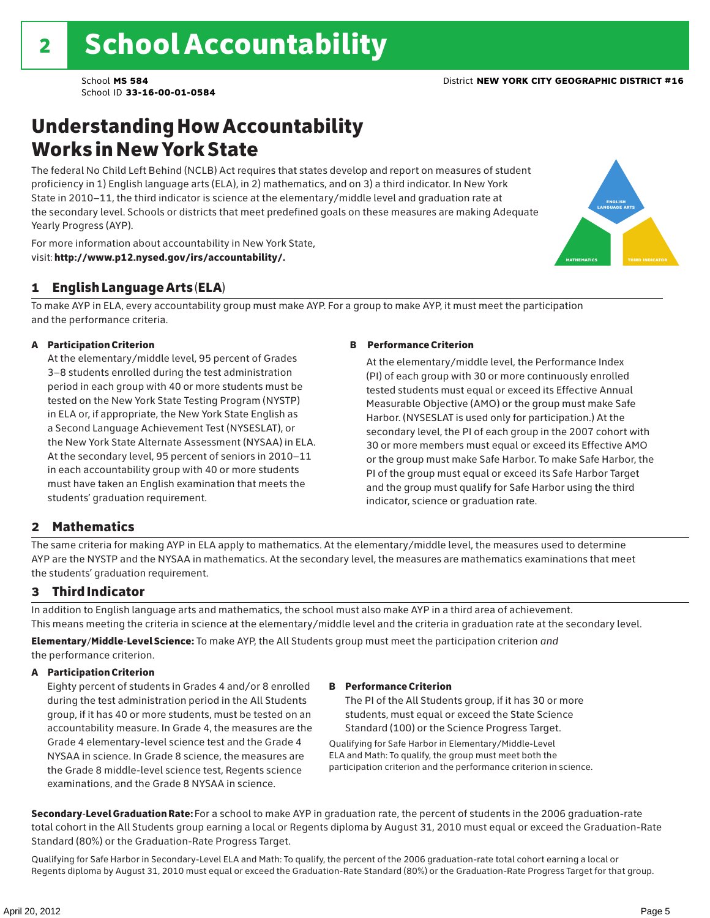# Understanding How Accountability Works in New York State

The federal No Child Left Behind (NCLB) Act requires that states develop and report on measures of student proficiency in 1) English language arts (ELA), in 2) mathematics, and on 3) a third indicator. In New York State in 2010–11, the third indicator is science at the elementary/middle level and graduation rate at the secondary level. Schools or districts that meet predefined goals on these measures are making Adequate Yearly Progress (AYP).



For more information about accountability in New York State, visit: http://www.p12.nysed.gov/irs/accountability/.

### 1 English Language Arts (ELA)

To make AYP in ELA, every accountability group must make AYP. For a group to make AYP, it must meet the participation and the performance criteria.

### A Participation Criterion

At the elementary/middle level, 95 percent of Grades 3–8 students enrolled during the test administration period in each group with 40 or more students must be tested on the New York State Testing Program (NYSTP) in ELA or, if appropriate, the New York State English as a Second Language Achievement Test (NYSESLAT), or the New York State Alternate Assessment (NYSAA) in ELA. At the secondary level, 95 percent of seniors in 2010–11 in each accountability group with 40 or more students must have taken an English examination that meets the students' graduation requirement.

### B Performance Criterion

At the elementary/middle level, the Performance Index (PI) of each group with 30 or more continuously enrolled tested students must equal or exceed its Effective Annual Measurable Objective (AMO) or the group must make Safe Harbor. (NYSESLAT is used only for participation.) At the secondary level, the PI of each group in the 2007 cohort with 30 or more members must equal or exceed its Effective AMO or the group must make Safe Harbor. To make Safe Harbor, the PI of the group must equal or exceed its Safe Harbor Target and the group must qualify for Safe Harbor using the third indicator, science or graduation rate.

### 2 Mathematics

The same criteria for making AYP in ELA apply to mathematics. At the elementary/middle level, the measures used to determine AYP are the NYSTP and the NYSAA in mathematics. At the secondary level, the measures are mathematics examinations that meet the students' graduation requirement.

### 3 Third Indicator

In addition to English language arts and mathematics, the school must also make AYP in a third area of achievement. This means meeting the criteria in science at the elementary/middle level and the criteria in graduation rate at the secondary level.

Elementary/Middle-Level Science: To make AYP, the All Students group must meet the participation criterion *and* the performance criterion.

### A Participation Criterion

Eighty percent of students in Grades 4 and/or 8 enrolled during the test administration period in the All Students group, if it has 40 or more students, must be tested on an accountability measure. In Grade 4, the measures are the Grade 4 elementary-level science test and the Grade 4 NYSAA in science. In Grade 8 science, the measures are the Grade 8 middle-level science test, Regents science examinations, and the Grade 8 NYSAA in science.

#### B Performance Criterion

The PI of the All Students group, if it has 30 or more students, must equal or exceed the State Science Standard (100) or the Science Progress Target.

Qualifying for Safe Harbor in Elementary/Middle-Level ELA and Math: To qualify, the group must meet both the participation criterion and the performance criterion in science.

Secondary-Level Graduation Rate: For a school to make AYP in graduation rate, the percent of students in the 2006 graduation-rate total cohort in the All Students group earning a local or Regents diploma by August 31, 2010 must equal or exceed the Graduation-Rate Standard (80%) or the Graduation-Rate Progress Target.

Qualifying for Safe Harbor in Secondary-Level ELA and Math: To qualify, the percent of the 2006 graduation-rate total cohort earning a local or Regents diploma by August 31, 2010 must equal or exceed the Graduation-Rate Standard (80%) or the Graduation-Rate Progress Target for that group.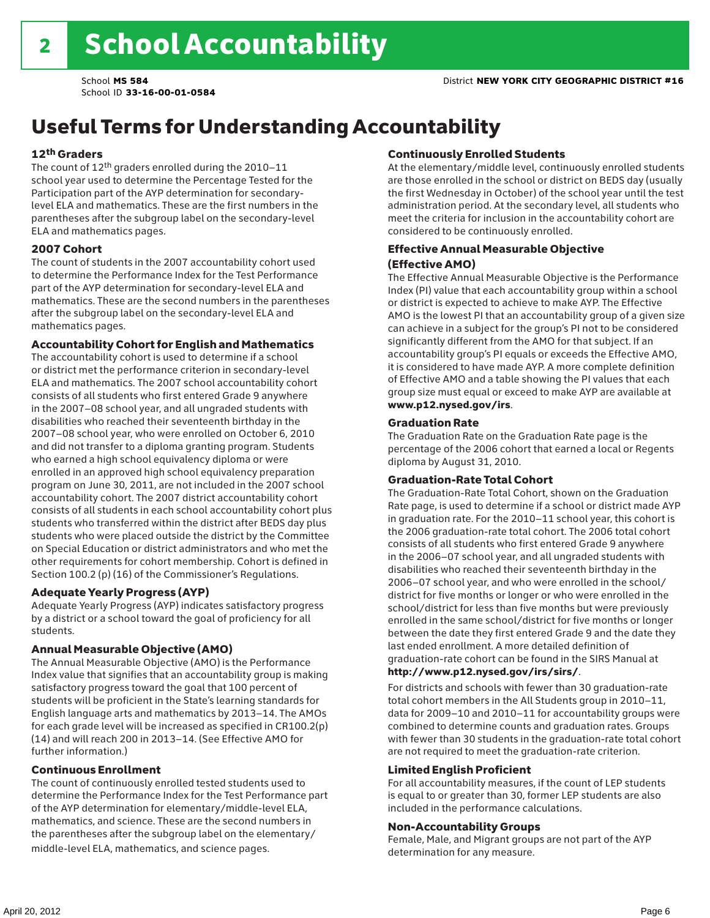# Useful Terms for Understanding Accountability

### 12th Graders

The count of 12th graders enrolled during the 2010–11 school year used to determine the Percentage Tested for the Participation part of the AYP determination for secondarylevel ELA and mathematics. These are the first numbers in the parentheses after the subgroup label on the secondary-level ELA and mathematics pages.

### 2007 Cohort

The count of students in the 2007 accountability cohort used to determine the Performance Index for the Test Performance part of the AYP determination for secondary-level ELA and mathematics. These are the second numbers in the parentheses after the subgroup label on the secondary-level ELA and mathematics pages.

### Accountability Cohort for English and Mathematics

The accountability cohort is used to determine if a school or district met the performance criterion in secondary-level ELA and mathematics. The 2007 school accountability cohort consists of all students who first entered Grade 9 anywhere in the 2007–08 school year, and all ungraded students with disabilities who reached their seventeenth birthday in the 2007–08 school year, who were enrolled on October 6, 2010 and did not transfer to a diploma granting program. Students who earned a high school equivalency diploma or were enrolled in an approved high school equivalency preparation program on June 30, 2011, are not included in the 2007 school accountability cohort. The 2007 district accountability cohort consists of all students in each school accountability cohort plus students who transferred within the district after BEDS day plus students who were placed outside the district by the Committee on Special Education or district administrators and who met the other requirements for cohort membership. Cohort is defined in Section 100.2 (p) (16) of the Commissioner's Regulations.

### Adequate Yearly Progress (AYP)

Adequate Yearly Progress (AYP) indicates satisfactory progress by a district or a school toward the goal of proficiency for all students.

### Annual Measurable Objective (AMO)

The Annual Measurable Objective (AMO) is the Performance Index value that signifies that an accountability group is making satisfactory progress toward the goal that 100 percent of students will be proficient in the State's learning standards for English language arts and mathematics by 2013–14. The AMOs for each grade level will be increased as specified in CR100.2(p) (14) and will reach 200 in 2013–14. (See Effective AMO for further information.)

### Continuous Enrollment

The count of continuously enrolled tested students used to determine the Performance Index for the Test Performance part of the AYP determination for elementary/middle-level ELA, mathematics, and science. These are the second numbers in the parentheses after the subgroup label on the elementary/ middle-level ELA, mathematics, and science pages.

### Continuously Enrolled Students

At the elementary/middle level, continuously enrolled students are those enrolled in the school or district on BEDS day (usually the first Wednesday in October) of the school year until the test administration period. At the secondary level, all students who meet the criteria for inclusion in the accountability cohort are considered to be continuously enrolled.

### Effective Annual Measurable Objective (Effective AMO)

The Effective Annual Measurable Objective is the Performance Index (PI) value that each accountability group within a school or district is expected to achieve to make AYP. The Effective AMO is the lowest PI that an accountability group of a given size can achieve in a subject for the group's PI not to be considered significantly different from the AMO for that subject. If an accountability group's PI equals or exceeds the Effective AMO, it is considered to have made AYP. A more complete definition of Effective AMO and a table showing the PI values that each group size must equal or exceed to make AYP are available at www.p12.nysed.gov/irs.

### Graduation Rate

The Graduation Rate on the Graduation Rate page is the percentage of the 2006 cohort that earned a local or Regents diploma by August 31, 2010.

### Graduation-Rate Total Cohort

The Graduation-Rate Total Cohort, shown on the Graduation Rate page, is used to determine if a school or district made AYP in graduation rate. For the 2010–11 school year, this cohort is the 2006 graduation-rate total cohort. The 2006 total cohort consists of all students who first entered Grade 9 anywhere in the 2006–07 school year, and all ungraded students with disabilities who reached their seventeenth birthday in the 2006–07 school year, and who were enrolled in the school/ district for five months or longer or who were enrolled in the school/district for less than five months but were previously enrolled in the same school/district for five months or longer between the date they first entered Grade 9 and the date they last ended enrollment. A more detailed definition of graduation-rate cohort can be found in the SIRS Manual at

### http://www.p12.nysed.gov/irs/sirs/.

For districts and schools with fewer than 30 graduation-rate total cohort members in the All Students group in 2010–11, data for 2009–10 and 2010–11 for accountability groups were combined to determine counts and graduation rates. Groups with fewer than 30 students in the graduation-rate total cohort are not required to meet the graduation-rate criterion.

### Limited English Proficient

For all accountability measures, if the count of LEP students is equal to or greater than 30, former LEP students are also included in the performance calculations.

### Non-Accountability Groups

Female, Male, and Migrant groups are not part of the AYP determination for any measure.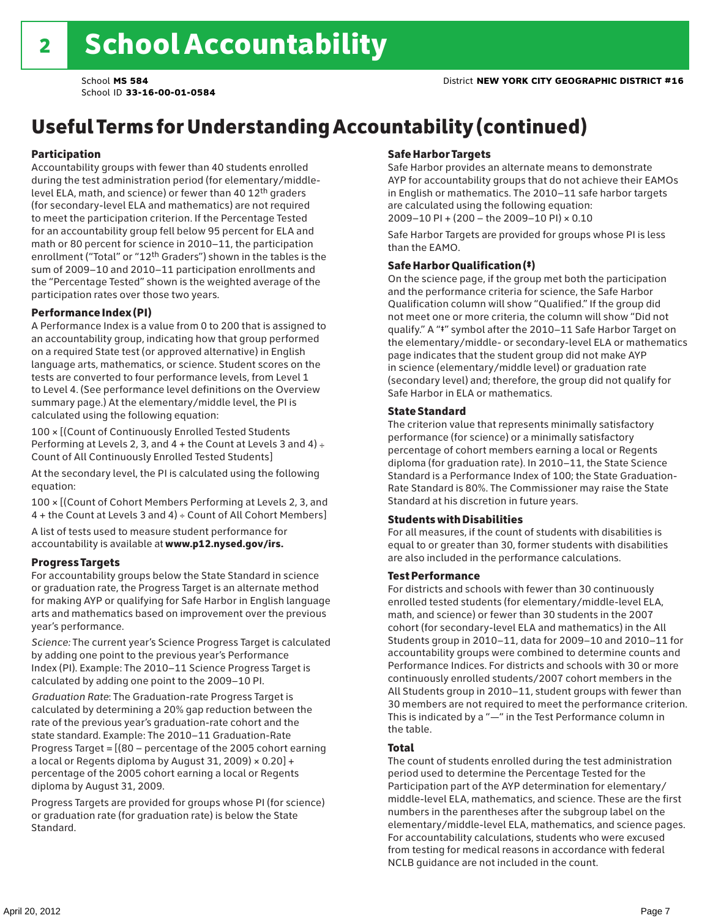# Useful Terms for Understanding Accountability (continued)

### Participation

Accountability groups with fewer than 40 students enrolled during the test administration period (for elementary/middlelevel ELA, math, and science) or fewer than 40 12th graders (for secondary-level ELA and mathematics) are not required to meet the participation criterion. If the Percentage Tested for an accountability group fell below 95 percent for ELA and math or 80 percent for science in 2010–11, the participation enrollment ("Total" or "12th Graders") shown in the tables is the sum of 2009–10 and 2010–11 participation enrollments and the "Percentage Tested" shown is the weighted average of the participation rates over those two years.

### Performance Index (PI)

A Performance Index is a value from 0 to 200 that is assigned to an accountability group, indicating how that group performed on a required State test (or approved alternative) in English language arts, mathematics, or science. Student scores on the tests are converted to four performance levels, from Level 1 to Level 4. (See performance level definitions on the Overview summary page.) At the elementary/middle level, the PI is calculated using the following equation:

100 × [(Count of Continuously Enrolled Tested Students Performing at Levels 2, 3, and  $4 +$  the Count at Levels 3 and  $4) \div$ Count of All Continuously Enrolled Tested Students]

At the secondary level, the PI is calculated using the following equation:

100 × [(Count of Cohort Members Performing at Levels 2, 3, and 4 + the Count at Levels 3 and 4) ÷ Count of All Cohort Members]

A list of tests used to measure student performance for accountability is available at www.p12.nysed.gov/irs.

### Progress Targets

For accountability groups below the State Standard in science or graduation rate, the Progress Target is an alternate method for making AYP or qualifying for Safe Harbor in English language arts and mathematics based on improvement over the previous year's performance.

*Science:* The current year's Science Progress Target is calculated by adding one point to the previous year's Performance Index (PI). Example: The 2010–11 Science Progress Target is calculated by adding one point to the 2009–10 PI.

*Graduation Rate*: The Graduation-rate Progress Target is calculated by determining a 20% gap reduction between the rate of the previous year's graduation-rate cohort and the state standard. Example: The 2010–11 Graduation-Rate Progress Target = [(80 – percentage of the 2005 cohort earning a local or Regents diploma by August 31, 2009)  $\times$  0.20] + percentage of the 2005 cohort earning a local or Regents diploma by August 31, 2009.

Progress Targets are provided for groups whose PI (for science) or graduation rate (for graduation rate) is below the State Standard.

### Safe Harbor Targets

Safe Harbor provides an alternate means to demonstrate AYP for accountability groups that do not achieve their EAMOs in English or mathematics. The 2010–11 safe harbor targets are calculated using the following equation: 2009–10 PI + (200 – the 2009–10 PI) × 0.10

Safe Harbor Targets are provided for groups whose PI is less than the EAMO.

### Safe Harbor Qualification (‡)

On the science page, if the group met both the participation and the performance criteria for science, the Safe Harbor Qualification column will show "Qualified." If the group did not meet one or more criteria, the column will show "Did not qualify." A "‡" symbol after the 2010–11 Safe Harbor Target on the elementary/middle- or secondary-level ELA or mathematics page indicates that the student group did not make AYP in science (elementary/middle level) or graduation rate (secondary level) and; therefore, the group did not qualify for Safe Harbor in ELA or mathematics.

### State Standard

The criterion value that represents minimally satisfactory performance (for science) or a minimally satisfactory percentage of cohort members earning a local or Regents diploma (for graduation rate). In 2010–11, the State Science Standard is a Performance Index of 100; the State Graduation-Rate Standard is 80%. The Commissioner may raise the State Standard at his discretion in future years.

### Students with Disabilities

For all measures, if the count of students with disabilities is equal to or greater than 30, former students with disabilities are also included in the performance calculations.

### Test Performance

For districts and schools with fewer than 30 continuously enrolled tested students (for elementary/middle-level ELA, math, and science) or fewer than 30 students in the 2007 cohort (for secondary-level ELA and mathematics) in the All Students group in 2010–11, data for 2009–10 and 2010–11 for accountability groups were combined to determine counts and Performance Indices. For districts and schools with 30 or more continuously enrolled students/2007 cohort members in the All Students group in 2010–11, student groups with fewer than 30 members are not required to meet the performance criterion. This is indicated by a "—" in the Test Performance column in the table.

### Total

The count of students enrolled during the test administration period used to determine the Percentage Tested for the Participation part of the AYP determination for elementary/ middle-level ELA, mathematics, and science. These are the first numbers in the parentheses after the subgroup label on the elementary/middle-level ELA, mathematics, and science pages. For accountability calculations, students who were excused from testing for medical reasons in accordance with federal NCLB guidance are not included in the count.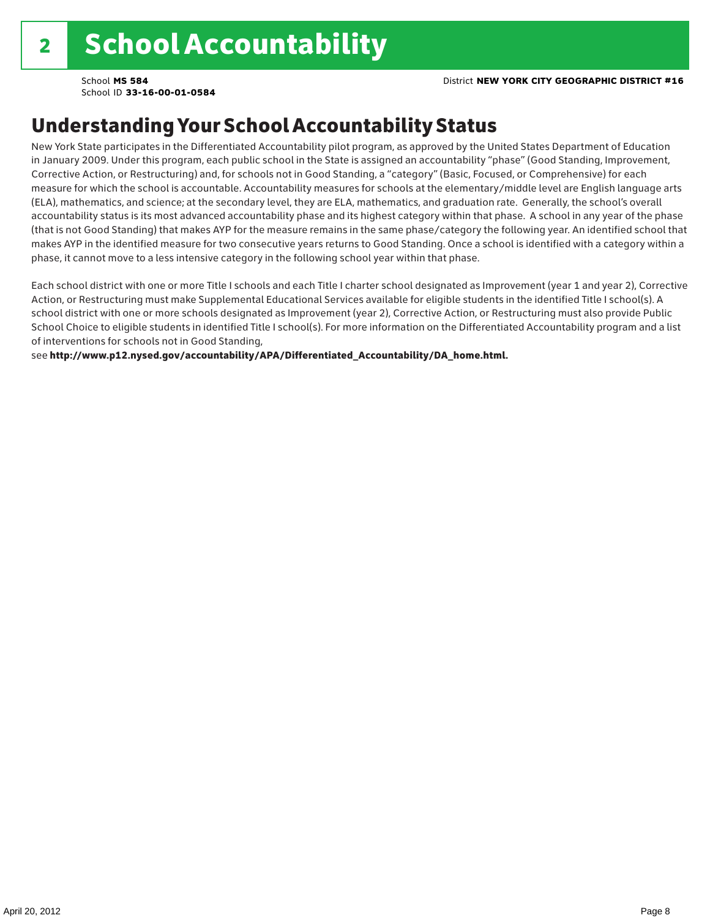### Understanding Your School Accountability Status

New York State participates in the Differentiated Accountability pilot program, as approved by the United States Department of Education in January 2009. Under this program, each public school in the State is assigned an accountability "phase" (Good Standing, Improvement, Corrective Action, or Restructuring) and, for schools not in Good Standing, a "category" (Basic, Focused, or Comprehensive) for each measure for which the school is accountable. Accountability measures for schools at the elementary/middle level are English language arts (ELA), mathematics, and science; at the secondary level, they are ELA, mathematics, and graduation rate. Generally, the school's overall accountability status is its most advanced accountability phase and its highest category within that phase. A school in any year of the phase (that is not Good Standing) that makes AYP for the measure remains in the same phase/category the following year. An identified school that makes AYP in the identified measure for two consecutive years returns to Good Standing. Once a school is identified with a category within a phase, it cannot move to a less intensive category in the following school year within that phase.

Each school district with one or more Title I schools and each Title I charter school designated as Improvement (year 1 and year 2), Corrective Action, or Restructuring must make Supplemental Educational Services available for eligible students in the identified Title I school(s). A school district with one or more schools designated as Improvement (year 2), Corrective Action, or Restructuring must also provide Public School Choice to eligible students in identified Title I school(s). For more information on the Differentiated Accountability program and a list of interventions for schools not in Good Standing,

see http://www.p12.nysed.gov/accountability/APA/Differentiated\_Accountability/DA\_home.html.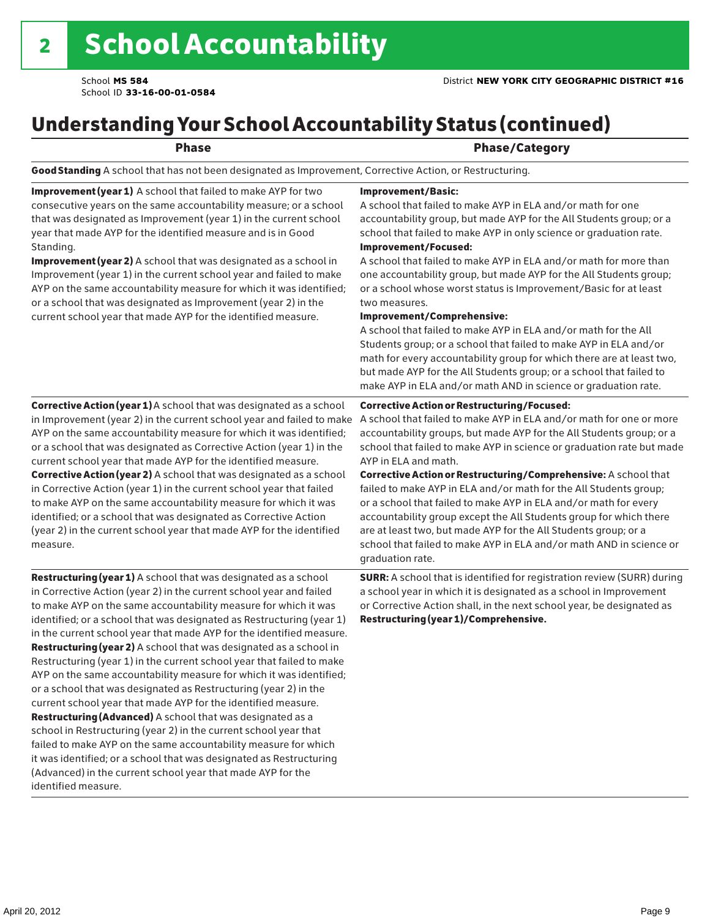# Understanding Your School Accountability Status (continued)

### Phase **Phase** Phase/Category

Good Standing A school that has not been designated as Improvement, Corrective Action, or Restructuring.

Improvement (year 1) A school that failed to make AYP for two consecutive years on the same accountability measure; or a school that was designated as Improvement (year 1) in the current school year that made AYP for the identified measure and is in Good Standing.

Improvement (year 2) A school that was designated as a school in Improvement (year 1) in the current school year and failed to make AYP on the same accountability measure for which it was identified; or a school that was designated as Improvement (year 2) in the current school year that made AYP for the identified measure.

### Corrective Action (year 1) A school that was designated as a school in Improvement (year 2) in the current school year and failed to make AYP on the same accountability measure for which it was identified; or a school that was designated as Corrective Action (year 1) in the current school year that made AYP for the identified measure. Corrective Action (year 2) A school that was designated as a school in Corrective Action (year 1) in the current school year that failed to make AYP on the same accountability measure for which it was identified; or a school that was designated as Corrective Action (year 2) in the current school year that made AYP for the identified

Restructuring (year 1) A school that was designated as a school in Corrective Action (year 2) in the current school year and failed to make AYP on the same accountability measure for which it was identified; or a school that was designated as Restructuring (year 1) in the current school year that made AYP for the identified measure. Restructuring (year 2) A school that was designated as a school in Restructuring (year 1) in the current school year that failed to make AYP on the same accountability measure for which it was identified; or a school that was designated as Restructuring (year 2) in the current school year that made AYP for the identified measure. Restructuring (Advanced) A school that was designated as a school in Restructuring (year 2) in the current school year that failed to make AYP on the same accountability measure for which it was identified; or a school that was designated as Restructuring (Advanced) in the current school year that made AYP for the identified measure.

#### Improvement/Basic:

A school that failed to make AYP in ELA and/or math for one accountability group, but made AYP for the All Students group; or a school that failed to make AYP in only science or graduation rate.

Improvement/Focused:

A school that failed to make AYP in ELA and/or math for more than one accountability group, but made AYP for the All Students group; or a school whose worst status is Improvement/Basic for at least two measures.

#### Improvement/Comprehensive:

A school that failed to make AYP in ELA and/or math for the All Students group; or a school that failed to make AYP in ELA and/or math for every accountability group for which there are at least two, but made AYP for the All Students group; or a school that failed to make AYP in ELA and/or math AND in science or graduation rate.

#### Corrective Action or Restructuring/Focused:

A school that failed to make AYP in ELA and/or math for one or more accountability groups, but made AYP for the All Students group; or a school that failed to make AYP in science or graduation rate but made AYP in ELA and math.

Corrective Action or Restructuring/Comprehensive: A school that failed to make AYP in ELA and/or math for the All Students group; or a school that failed to make AYP in ELA and/or math for every accountability group except the All Students group for which there are at least two, but made AYP for the All Students group; or a school that failed to make AYP in ELA and/or math AND in science or graduation rate.

SURR: A school that is identified for registration review (SURR) during a school year in which it is designated as a school in Improvement or Corrective Action shall, in the next school year, be designated as Restructuring (year 1)/Comprehensive.

measure.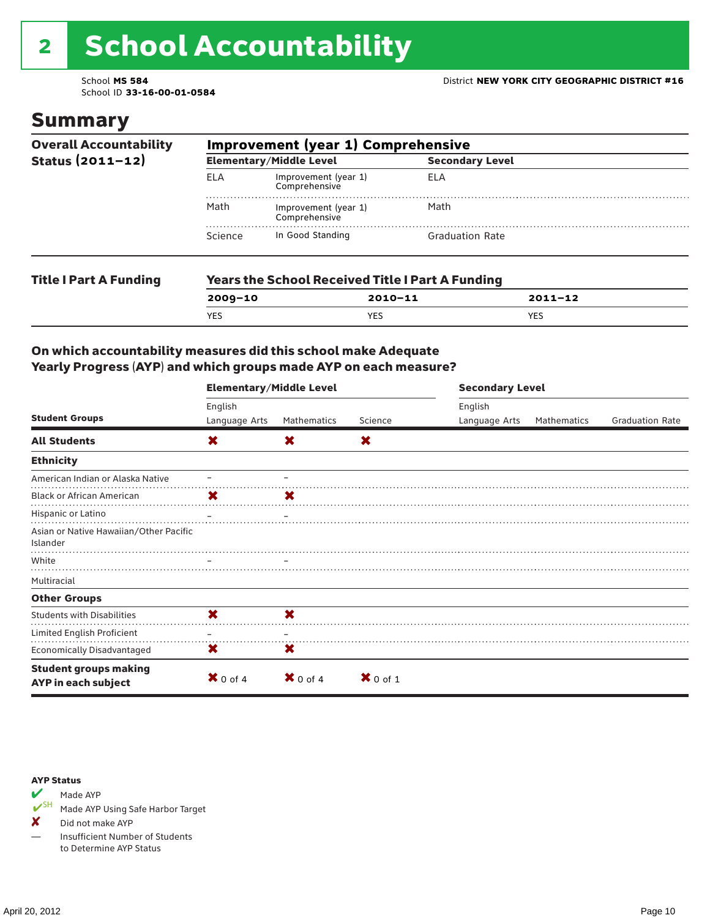# 2 School Accountability

School ID **33-16-00-01-0584**

### Summary

| <b>Overall Accountability</b><br>Status $(2011 - 12)$ | <b>Improvement (year 1) Comprehensive</b> |                                                         |                        |  |  |  |
|-------------------------------------------------------|-------------------------------------------|---------------------------------------------------------|------------------------|--|--|--|
|                                                       |                                           | <b>Elementary/Middle Level</b>                          | <b>Secondary Level</b> |  |  |  |
|                                                       | <b>ELA</b>                                | Improvement (year 1)<br>Comprehensive                   | ELA                    |  |  |  |
|                                                       | Math                                      | Improvement (year 1)<br>Comprehensive                   | Math                   |  |  |  |
|                                                       | Science                                   | In Good Standing                                        | <b>Graduation Rate</b> |  |  |  |
| <b>Title I Part A Funding</b>                         |                                           | <b>Years the School Received Title I Part A Funding</b> |                        |  |  |  |

**2009–10 2010–11 2011–12**

YES YES YES

### On which accountability measures did this school make Adequate Yearly Progress (AYP) and which groups made AYP on each measure?

|                                                     | <b>Elementary/Middle Level</b> |                     |                     | <b>Secondary Level</b>   |             |                        |  |
|-----------------------------------------------------|--------------------------------|---------------------|---------------------|--------------------------|-------------|------------------------|--|
| <b>Student Groups</b>                               | English<br>Language Arts       | Mathematics         | Science             | English<br>Language Arts | Mathematics | <b>Graduation Rate</b> |  |
| <b>All Students</b>                                 | X                              | X                   | X                   |                          |             |                        |  |
| <b>Ethnicity</b>                                    |                                |                     |                     |                          |             |                        |  |
| American Indian or Alaska Native                    |                                |                     |                     |                          |             |                        |  |
| <b>Black or African American</b>                    | X.                             | X                   |                     |                          |             |                        |  |
| Hispanic or Latino                                  |                                |                     |                     |                          |             |                        |  |
| Asian or Native Hawaiian/Other Pacific<br>Islander  |                                |                     |                     |                          |             |                        |  |
| White                                               |                                |                     |                     |                          |             |                        |  |
| Multiracial                                         |                                |                     |                     |                          |             |                        |  |
| <b>Other Groups</b>                                 |                                |                     |                     |                          |             |                        |  |
| <b>Students with Disabilities</b>                   | X                              | X                   |                     |                          |             |                        |  |
| Limited English Proficient                          |                                |                     |                     |                          |             |                        |  |
| <b>Economically Disadvantaged</b>                   | X                              | X                   |                     |                          |             |                        |  |
| <b>Student groups making</b><br>AYP in each subject | $\bm{X}$ 0 of 4                | $\mathbf{X}$ 0 of 4 | $\mathbf{X}$ 0 of 1 |                          |             |                        |  |

#### AYP Status



Made AYP Using Safe Harbor Target

✘ Did not make AYP

— Insufficient Number of Students to Determine AYP Status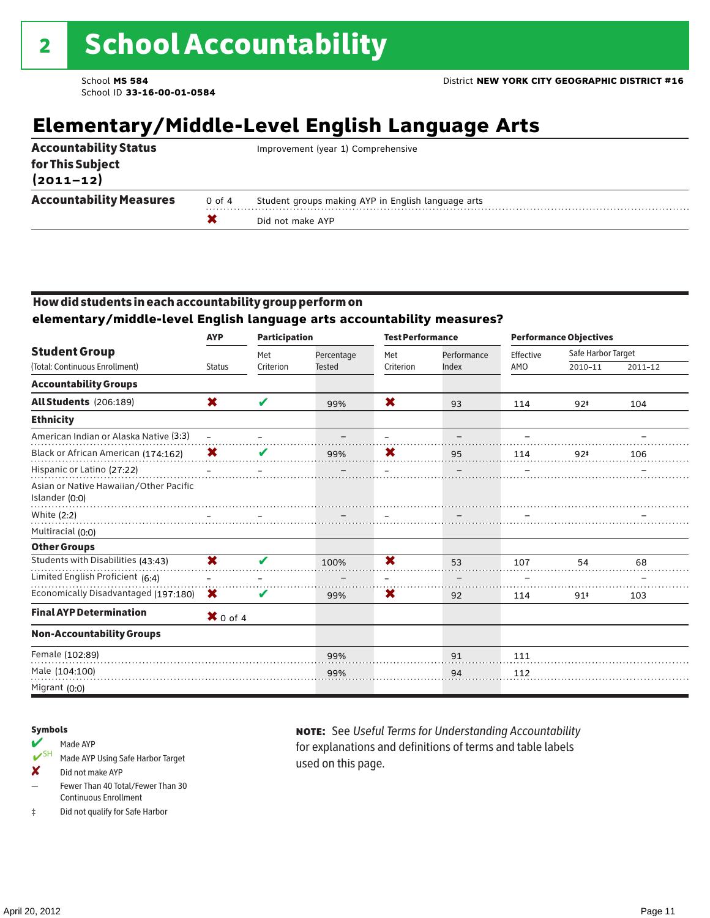# **Elementary/Middle-Level English Language Arts**

| <b>Accountability Status</b><br>for This Subject<br>$(2011 - 12)$ |        | Improvement (year 1) Comprehensive                 |
|-------------------------------------------------------------------|--------|----------------------------------------------------|
| <b>Accountability Measures</b>                                    | 0 of 4 | Student groups making AYP in English language arts |
|                                                                   |        | Did not make AYP                                   |

### How did students in each accountability group perform on

**elementary/middle-level English language arts accountability measures?**

|                                                          | <b>AYP</b>      | <b>Participation</b> |               | <b>Test Performance</b> |             | <b>Performance Objectives</b> |                    |             |
|----------------------------------------------------------|-----------------|----------------------|---------------|-------------------------|-------------|-------------------------------|--------------------|-------------|
| <b>Student Group</b>                                     |                 | Met                  | Percentage    | Met                     | Performance | Effective                     | Safe Harbor Target |             |
| (Total: Continuous Enrollment)                           | <b>Status</b>   | Criterion            | <b>Tested</b> | Criterion               | Index       | AMO                           | 2010-11            | $2011 - 12$ |
| <b>Accountability Groups</b>                             |                 |                      |               |                         |             |                               |                    |             |
| <b>All Students</b> (206:189)                            | X               | V                    | 99%           | X                       | 93          | 114                           | $92*$              | 104         |
| <b>Ethnicity</b>                                         |                 |                      |               |                         |             |                               |                    |             |
| American Indian or Alaska Native (3:3)                   |                 |                      |               |                         |             |                               |                    |             |
| Black or African American (174:162)                      | X               | V                    | 99%           | X                       | 95          | 114                           | $92*$              | 106         |
| Hispanic or Latino (27:22)                               |                 |                      |               |                         |             |                               |                    |             |
| Asian or Native Hawaiian/Other Pacific<br>Islander (0:0) |                 |                      |               |                         |             |                               |                    |             |
| White (2:2)                                              |                 |                      |               |                         |             |                               |                    |             |
| Multiracial (0:0)                                        |                 |                      |               |                         |             |                               |                    |             |
| <b>Other Groups</b>                                      |                 |                      |               |                         |             |                               |                    |             |
| Students with Disabilities (43:43)                       | X               | V                    | 100%          | $\overline{\mathbf{x}}$ | 53          | 107                           | 54                 | 68          |
| Limited English Proficient (6:4)                         |                 |                      |               |                         |             |                               |                    |             |
| Economically Disadvantaged (197:180)                     | X               | V                    | 99%           | X                       | 92          | 114                           | 91#                | 103         |
| <b>Final AYP Determination</b>                           | $\bm{X}$ 0 of 4 |                      |               |                         |             |                               |                    |             |
| <b>Non-Accountability Groups</b>                         |                 |                      |               |                         |             |                               |                    |             |
| Female (102:89)                                          |                 |                      | 99%           |                         | 91          | 111                           |                    |             |
| Male (104:100)                                           |                 |                      | 99%           |                         | 94          | 112                           |                    |             |
| Migrant (0:0)                                            |                 |                      |               |                         |             |                               |                    |             |

### Symbols

### Made AYP

- ✔SH Made AYP Using Safe Harbor Target
- ✘ Did not make AYP
- Fewer Than 40 Total/Fewer Than 30 Continuous Enrollment
- ‡ Did not qualify for Safe Harbor

note: See *Useful Terms for Understanding Accountability*  for explanations and definitions of terms and table labels used on this page.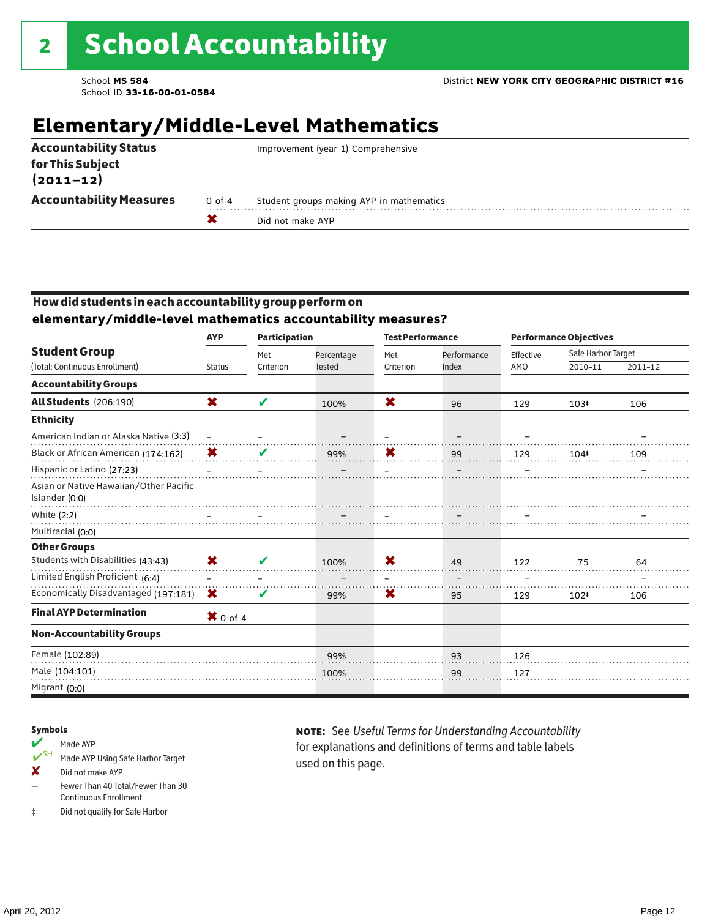# **Elementary/Middle-Level Mathematics**

|                                   |        | Did not make AYP                         |
|-----------------------------------|--------|------------------------------------------|
| <b>Accountability Measures</b>    | 0 of 4 | Student groups making AYP in mathematics |
| for This Subject<br>$(2011 - 12)$ |        |                                          |
| <b>Accountability Status</b>      |        | Improvement (year 1) Comprehensive       |

### How did students in each accountability group perform on **elementary/middle-level mathematics accountability measures?**

|                                                          | <b>AYP</b>          | <b>Participation</b> |                             | <b>Test Performance</b> |                      |                  | <b>Performance Objectives</b> |         |
|----------------------------------------------------------|---------------------|----------------------|-----------------------------|-------------------------|----------------------|------------------|-------------------------------|---------|
| <b>Student Group</b><br>(Total: Continuous Enrollment)   | <b>Status</b>       | Met<br>Criterion     | Percentage<br><b>Tested</b> | Met<br>Criterion        | Performance<br>Index | Effective<br>AMO | Safe Harbor Target<br>2010-11 | 2011-12 |
|                                                          |                     |                      |                             |                         |                      |                  |                               |         |
| <b>Accountability Groups</b>                             |                     |                      |                             |                         |                      |                  |                               |         |
| <b>All Students</b> (206:190)                            | X                   | V                    | 100%                        | X                       | 96                   | 129              | $103*$                        | 106     |
| <b>Ethnicity</b>                                         |                     |                      |                             |                         |                      |                  |                               |         |
| American Indian or Alaska Native (3:3)                   | $\frac{1}{2}$       |                      |                             |                         |                      |                  |                               |         |
| Black or African American (174:162)                      | X                   |                      | 99%                         | Х                       | 99                   | 129              | 104#                          | 109     |
| Hispanic or Latino (27:23)                               |                     |                      |                             |                         |                      |                  |                               |         |
| Asian or Native Hawaiian/Other Pacific<br>Islander (0:0) |                     |                      |                             |                         |                      |                  |                               |         |
| White (2:2)                                              |                     |                      |                             |                         |                      |                  |                               |         |
| Multiracial (0:0)                                        |                     |                      |                             |                         |                      |                  |                               |         |
| <b>Other Groups</b>                                      |                     |                      |                             |                         |                      |                  |                               |         |
| Students with Disabilities (43:43)                       | X                   | v                    | 100%                        | $\overline{\mathbf{x}}$ | 49                   | 122              | 75                            | 64      |
| Limited English Proficient (6:4)                         |                     |                      |                             |                         |                      |                  |                               |         |
| Economically Disadvantaged (197:181)                     | X                   | V                    | 99%                         | X                       | 95                   | 129              | 102#                          | 106     |
| <b>Final AYP Determination</b>                           | $\mathbf{X}$ 0 of 4 |                      |                             |                         |                      |                  |                               |         |
| <b>Non-Accountability Groups</b>                         |                     |                      |                             |                         |                      |                  |                               |         |
| Female (102:89)                                          |                     |                      | 99%                         |                         | 93                   | 126              |                               |         |
| Male (104:101)                                           |                     |                      | 100%                        |                         | 99                   | 127              |                               |         |
| Migrant (0:0)                                            |                     |                      |                             |                         |                      |                  |                               |         |

#### Symbols

### Made AYP

- ✔SH Made AYP Using Safe Harbor Target
- ✘ Did not make AYP
- Fewer Than 40 Total/Fewer Than 30 Continuous Enrollment
- ‡ Did not qualify for Safe Harbor

note: See *Useful Terms for Understanding Accountability*  for explanations and definitions of terms and table labels used on this page.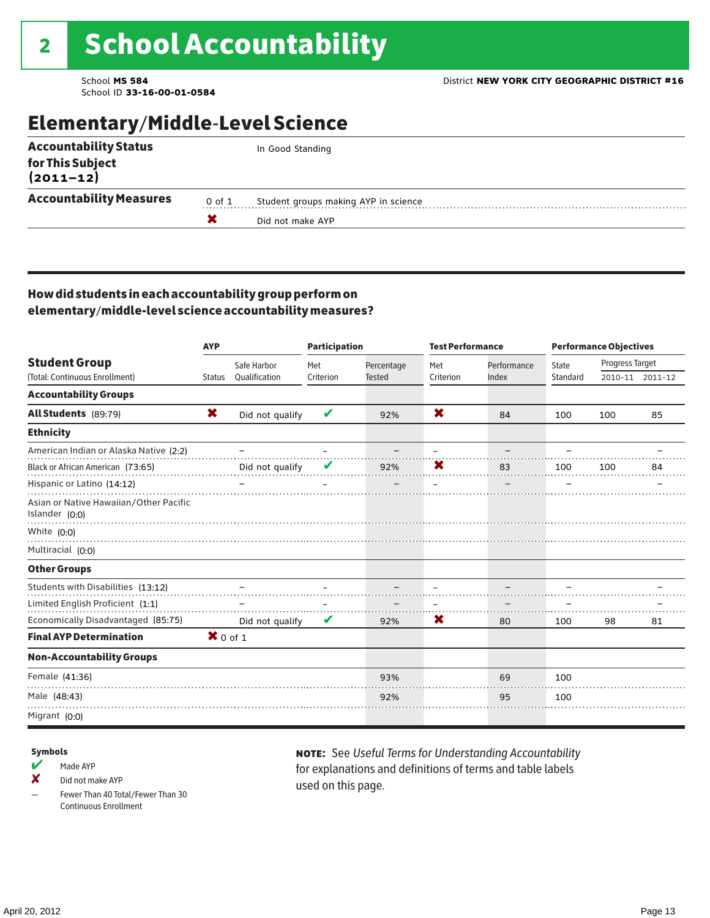## Elementary/Middle-Level Science

|        | In Good Standing                     |
|--------|--------------------------------------|
|        |                                      |
| 0 of 1 | Student groups making AYP in science |
|        | Did not make AYP                     |
|        |                                      |

### How did students in each accountability group perform on elementary/middle-level science accountability measures?

|                                                                        | <b>AYP</b>          |                 | <b>Participation</b> |               | <b>Test Performance</b> |             | <b>Performance Objectives</b> |                 |                 |
|------------------------------------------------------------------------|---------------------|-----------------|----------------------|---------------|-------------------------|-------------|-------------------------------|-----------------|-----------------|
| <b>Student Group</b>                                                   |                     | Safe Harbor     | Met                  | Percentage    | Met                     | Performance | State                         | Progress Target |                 |
| (Total: Continuous Enrollment)                                         | <b>Status</b>       | Qualification   | Criterion            | <b>Tested</b> | Criterion               | Index       | Standard                      |                 | 2010-11 2011-12 |
| <b>Accountability Groups</b>                                           |                     |                 |                      |               |                         |             |                               |                 |                 |
| All Students (89:79)                                                   | X                   | Did not qualify | V                    | 92%           | X                       | 84          | 100                           | 100             | 85              |
| <b>Ethnicity</b>                                                       |                     |                 |                      |               |                         |             |                               |                 |                 |
| American Indian or Alaska Native (2:2)                                 |                     |                 |                      |               |                         |             |                               |                 |                 |
| Black or African American (73:65)                                      |                     | Did not qualify |                      | 92%           | X                       | 83          | 100                           | 100             | 84              |
| Hispanic or Latino (14:12)                                             |                     |                 |                      |               |                         |             |                               |                 |                 |
| Asian or Native Hawaiian/Other Pacific<br>Islander (0:0)               |                     |                 |                      |               |                         |             |                               |                 |                 |
| White $(0:0)$                                                          |                     |                 |                      |               |                         |             |                               |                 |                 |
| Multiracial (0:0)                                                      |                     |                 |                      |               |                         |             |                               |                 |                 |
| <b>Other Groups</b>                                                    |                     |                 |                      |               |                         |             |                               |                 |                 |
| Students with Disabilities (13:12)<br>Limited English Proficient (1:1) |                     |                 |                      |               |                         |             |                               |                 |                 |
| Economically Disadvantaged (85:75)                                     |                     | Did not qualify | V                    | 92%           | X                       | 80          | 100                           | 98              | 81              |
| <b>Final AYP Determination</b>                                         | $\mathbf{X}$ 0 of 1 |                 |                      |               |                         |             |                               |                 |                 |
| <b>Non-Accountability Groups</b>                                       |                     |                 |                      |               |                         |             |                               |                 |                 |
| Female (41:36)                                                         |                     |                 |                      | 93%           |                         | 69          | 100                           |                 |                 |
| Male (48:43)                                                           |                     |                 |                      | 92%           |                         | 95          | 100                           |                 |                 |
| Migrant (0:0)                                                          |                     |                 |                      |               |                         |             |                               |                 |                 |

#### Symbols

- $M$  Made AYP
- ✘ Did not make AYP
- Fewer Than 40 Total/Fewer Than 30 Continuous Enrollment

note: See *Useful Terms for Understanding Accountability*  for explanations and definitions of terms and table labels used on this page.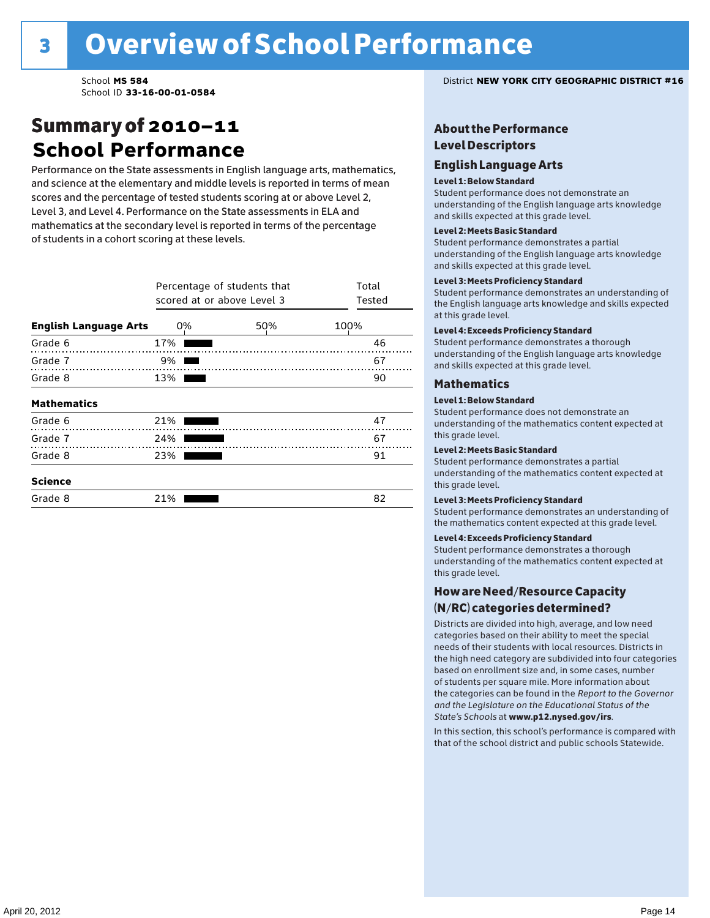### Summary of 2010–11 **School Performance**

Performance on the State assessments in English language arts, mathematics, and science at the elementary and middle levels is reported in terms of mean scores and the percentage of tested students scoring at or above Level 2, Level 3, and Level 4. Performance on the State assessments in ELA and mathematics at the secondary level is reported in terms of the percentage of students in a cohort scoring at these levels.

|                              |     | Percentage of students that<br>scored at or above Level 3 |      |  |  |  |  |  |  |  |
|------------------------------|-----|-----------------------------------------------------------|------|--|--|--|--|--|--|--|
| <b>English Language Arts</b> | 0%  | 50%                                                       | 100% |  |  |  |  |  |  |  |
| Grade 6                      | 17% |                                                           | 46   |  |  |  |  |  |  |  |
| Grade 7                      | 9%  |                                                           | 67   |  |  |  |  |  |  |  |
| Grade 8                      | 13% |                                                           | 90   |  |  |  |  |  |  |  |
| <b>Mathematics</b>           |     |                                                           |      |  |  |  |  |  |  |  |
| Grade 6                      | 21% |                                                           | 47   |  |  |  |  |  |  |  |
| Grade 7                      | 24% |                                                           | 67   |  |  |  |  |  |  |  |
| Grade 8                      | 23% |                                                           | 91   |  |  |  |  |  |  |  |
| <b>Science</b>               |     |                                                           |      |  |  |  |  |  |  |  |
| Grade 8                      | 21% |                                                           | 82   |  |  |  |  |  |  |  |

School **MS 584** District **NEW YORK CITY GEOGRAPHIC DISTRICT #16**

### About the Performance Level Descriptors

#### English Language Arts English Language Arts

#### Level 1: Below Standard

understanding of the content expected in the subjection of the subjection  $\mathcal{L}$ Student performance does not demonstrate an and skills expected at this grade level. understanding of the English language arts knowledge

#### Student performance demonstrates a partial Level 2: Meets Basic Standard understanding of the content expected in the subject of the subject of the subject of the subject of the subject

Student performance demonstrates a partial and skills expected at this grade level. Students performance demonstrates and understanding and understanding and understanding and understanding and u understanding of the English language arts knowledge

### Level 3: Meets Proficiency Standard

Level 4: Meeting Learning Standards with Distinction. the English language arts knowledge and skills expected at this grade level.<br>at this grade level.  $\mathbf{u}$  and  $\mathbf{y}$  and  $\mathbf{u}$  the subjected in the subjected in the subjected in the subjection  $\mathbf{v}$ Student performance demonstrates an understanding of

### Level 4: Exceeds Proficiency Standard

understanding of the English language arts knowledge and skills expected at this grade level.<br>———————————————————— Student performance demonstrates a thorough

#### Districts are districts and low need in the low need  $\sim$

#### categories based on their ability to meet the special Level 1: Below Standard

Student performance does not demonstrate an understanding of the mathematics content expected at  $\frac{1}{2}$  based on enrollment size and, in some cases, number  $\frac{1}{2}$  and,  $\frac{1}{2}$  and,  $\frac{1}{2}$ 

### $\overline{\mathsf{Level}}$  2: Meets Basic Standard about 2: More information about 2: More information about 2: More information about 2: More information about 2: More information about 2: More information about 2: More information abo

the categories can be found in the *Report to the Governor categories* can be found in the *Report to the Govern*or  $\alpha$ *and the Legislature on the Educational Status of the*  Student performance demonstrates a partial understanding of the mathematics content expected at this grade level.

### Level 3: Meets Proficiency Standard

Student performance demonstrates an understanding of the mathematics content expected at this grade level.

#### Level 4: Exceeds Proficiency Standard

Student performance demonstrates a thorough understanding of the mathematics content expected at this grade level.  $\mathcal{L}_{\text{max}}$  is performance with that of similar  $\mathcal{L}_{\text{max}}$ 

#### schools. The following factors are considered in grouping How are Need/Resource Capacity  $(N/RC)$  categories determined?  $\hphantom{N(2)}\sum_{n=1}^{\infty}\frac{1}{n}$

Districts are divided into high, average, and low need categories based on their ability to meet the special needs of their students with local resources. Districts in the high need category are subdivided into four categories based on enrollment size and, in some cases, number of students per square mile. More information about the categories can be found in the *Report to the Governor* Group: *State's Schools* at www.p12.nysed.gov/irs. *and the Legislature on the Educational Status of the* 

In this section, this school's performance is compared with that of the school district and public schools Statewide.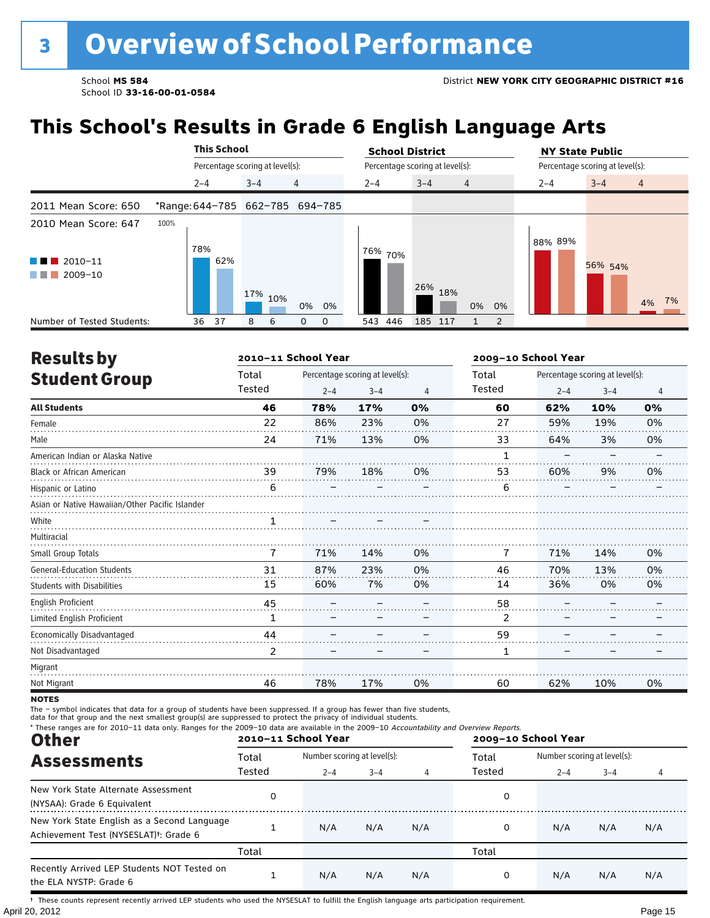# **This School's Results in Grade 6 English Language Arts**

|                                                                     |                                 |         | <b>This School</b>              |         |            |    |    |         |     | <b>School District</b> |                                 |                |    |                                 | <b>NY State Public</b> |  |         |                |  |       |
|---------------------------------------------------------------------|---------------------------------|---------|---------------------------------|---------|------------|----|----|---------|-----|------------------------|---------------------------------|----------------|----|---------------------------------|------------------------|--|---------|----------------|--|-------|
|                                                                     |                                 |         | Percentage scoring at level(s): |         |            |    |    |         |     |                        | Percentage scoring at level(s): |                |    | Percentage scoring at level(s): |                        |  |         |                |  |       |
|                                                                     |                                 | $2 - 4$ |                                 | $3 - 4$ |            | 4  |    | $2 - 4$ |     | $3 - 4$                |                                 | $\overline{4}$ |    |                                 | $2 - 4$                |  | $3 - 4$ | $\overline{4}$ |  |       |
| 2011 Mean Score: 650                                                | *Range: 644-785 662-785 694-785 |         |                                 |         |            |    |    |         |     |                        |                                 |                |    |                                 |                        |  |         |                |  |       |
| 2010 Mean Score: 647<br>$\blacksquare$ 2010-11<br><b>The Common</b> | 100%                            | 78%     | 62%                             |         |            |    |    | 76%     | 70% |                        |                                 |                |    |                                 | 88% 89%                |  |         |                |  |       |
| 2009-10<br><b>The Common</b>                                        |                                 |         |                                 |         | $17\%$ 10% | 0% | 0% |         |     | 26%                    | 18%                             | 0%             | 0% |                                 |                        |  | 56% 54% |                |  | 4% 7% |
| Number of Tested Students:                                          |                                 | 36      | 37                              | 8       | 6          | 0  | 0  | 543     | 446 | 185                    | 117                             |                | 2  |                                 |                        |  |         |                |  |       |

| <b>Results by</b>                               |        | 2010-11 School Year |                                 |                | 2009-10 School Year |         |                                 |                |  |
|-------------------------------------------------|--------|---------------------|---------------------------------|----------------|---------------------|---------|---------------------------------|----------------|--|
| <b>Student Group</b>                            | Total  |                     | Percentage scoring at level(s): |                | Total               |         | Percentage scoring at level(s): |                |  |
|                                                 | Tested | $2 - 4$             | $3 - 4$                         | $\overline{4}$ | Tested              | $2 - 4$ | $3 - 4$                         | $\overline{4}$ |  |
| <b>All Students</b>                             | 46     | 78%                 | 17%                             | 0%             | 60                  | 62%     | 10%                             | 0%             |  |
| Female                                          | 22     | 86%                 | 23%                             | 0%             | 27                  | 59%     | 19%                             | 0%             |  |
| Male                                            | 24     | 71%                 | 13%                             | 0%             | 33                  | 64%     | 3%                              | 0%             |  |
| American Indian or Alaska Native                |        |                     |                                 |                | 1                   |         |                                 |                |  |
| <b>Black or African American</b>                | 39     | 79%                 | 18%                             | 0%             | 53                  | 60%     | 9%                              | 0%             |  |
| Hispanic or Latino                              | 6      |                     |                                 |                | 6                   |         |                                 |                |  |
| Asian or Native Hawaiian/Other Pacific Islander |        |                     |                                 |                |                     |         |                                 |                |  |
| White                                           |        |                     |                                 |                |                     |         |                                 |                |  |
| Multiracial                                     |        |                     |                                 |                |                     |         |                                 |                |  |
| Small Group Totals                              | 7      | 71%                 | 14%                             | 0%             | 7                   | 71%     | 14%                             | 0%             |  |
| <b>General-Education Students</b>               | 31     | 87%                 | 23%                             | 0%             | 46                  | 70%     | 13%                             | 0%             |  |
| <b>Students with Disabilities</b>               | 15     | 60%                 | 7%                              | 0%             | 14                  | 36%     | 0%                              | 0%             |  |
| English Proficient                              | 45     |                     |                                 |                | 58                  |         |                                 |                |  |
| Limited English Proficient                      | 1      |                     |                                 |                | 2                   |         |                                 |                |  |
| Economically Disadvantaged                      | 44     |                     |                                 |                | 59                  |         |                                 |                |  |
| Not Disadvantaged                               | 2      |                     |                                 |                | 1                   |         |                                 |                |  |
| Migrant                                         |        |                     |                                 |                |                     |         |                                 |                |  |
| Not Migrant                                     | 46     | 78%                 | 17%                             | 0%             | 60                  | 62%     | 10%                             | 0%             |  |

**NOTES** 

The – symbol indicates that data for a group of students have been suppressed. If a group has fewer than five students,<br>data for that group and the next smallest group(s) are suppressed to protect the privacy of individual

| * These ranges are for 2010-11 data only. Ranges for the 2009-10 data are available in the 2009-10 Accountability and Overview Reports.<br><b>Other</b> |        | 2010-11 School Year         |         |     | 2009-10 School Year |                             |         |     |  |
|---------------------------------------------------------------------------------------------------------------------------------------------------------|--------|-----------------------------|---------|-----|---------------------|-----------------------------|---------|-----|--|
| <b>Assessments</b>                                                                                                                                      | Total  | Number scoring at level(s): |         |     | Total               | Number scoring at level(s): |         |     |  |
|                                                                                                                                                         | Tested | $2 - 4$                     | $3 - 4$ |     | Tested              | $2 - 4$                     | $3 - 4$ |     |  |
| New York State Alternate Assessment<br>(NYSAA): Grade 6 Equivalent                                                                                      | 0      |                             |         |     | 0                   |                             |         |     |  |
| New York State English as a Second Language<br>Achievement Test (NYSESLAT) <sup>+</sup> : Grade 6                                                       |        | N/A                         | N/A     | N/A | 0                   | N/A                         | N/A     | N/A |  |
|                                                                                                                                                         | Total  |                             |         |     | Total               |                             |         |     |  |
| Recently Arrived LEP Students NOT Tested on<br>the ELA NYSTP: Grade 6                                                                                   |        | N/A                         | N/A     | N/A | 0                   | N/A                         | N/A     | N/A |  |

April 20, 2012 Page 15 † These counts represent recently arrived LEP students who used the NYSESLAT to fulfill the English language arts participation requirement.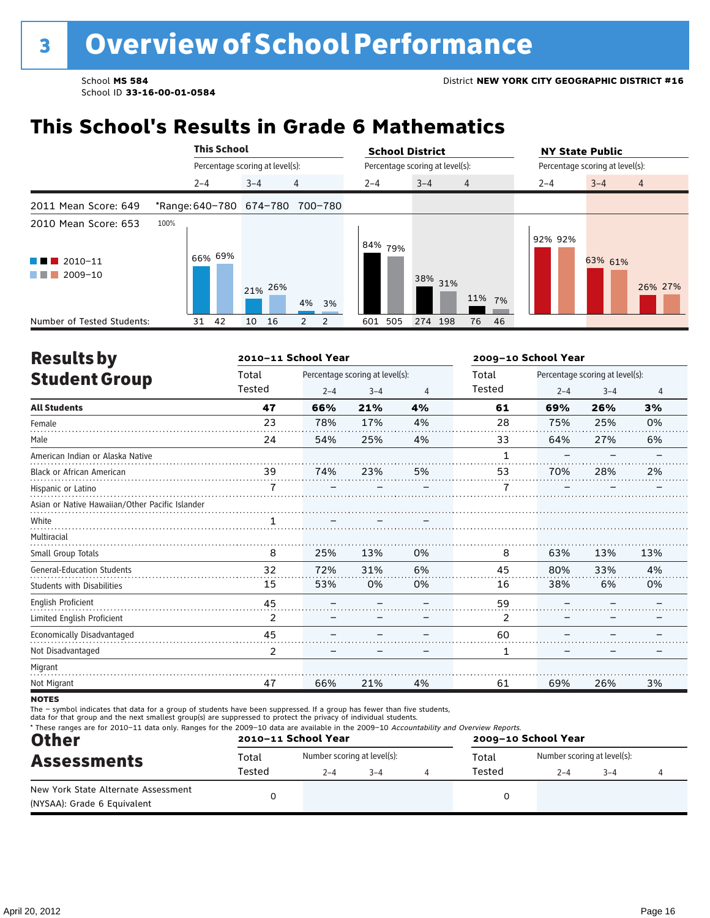### **This School's Results in Grade 6 Mathematics**

|                                                                                                     |      |         | <b>This School</b>              |         |    |                                 |                                 | <b>School District</b> |         |                                 | <b>NY State Public</b> |                           |  |  |
|-----------------------------------------------------------------------------------------------------|------|---------|---------------------------------|---------|----|---------------------------------|---------------------------------|------------------------|---------|---------------------------------|------------------------|---------------------------|--|--|
|                                                                                                     |      |         | Percentage scoring at level(s): |         |    |                                 | Percentage scoring at level(s): |                        |         | Percentage scoring at level(s): |                        |                           |  |  |
|                                                                                                     |      | $2 - 4$ |                                 | $3 - 4$ |    | $\overline{4}$                  |                                 | $2 - 4$                | $3 - 4$ | $\overline{4}$                  | $2 - 4$                | $3 - 4$<br>$\overline{4}$ |  |  |
| 2011 Mean Score: 649                                                                                |      |         |                                 |         |    | *Range: 640-780 674-780 700-780 |                                 |                        |         |                                 |                        |                           |  |  |
| 2010 Mean Score: 653<br>$\blacksquare$ 2010-11<br><b>The Common</b><br>2009-10<br><b>The Common</b> | 100% |         | 66% 69%                         | 21% 26% |    | 4% 3%                           |                                 | 84%<br>79%             | 38% 31% | 11% 7%                          | 92% 92%                | 63% 61%<br>26% 27%        |  |  |
| Number of Tested Students:                                                                          |      | 31      | 42                              | 10      | 16 | $\overline{2}$<br>2             |                                 | 505<br>601             | 274 198 | 76 46                           |                        |                           |  |  |

| <b>Results by</b>                               |        | 2010-11 School Year |                                 |    | 2009-10 School Year |         |                                 |     |  |  |
|-------------------------------------------------|--------|---------------------|---------------------------------|----|---------------------|---------|---------------------------------|-----|--|--|
| <b>Student Group</b>                            | Total  |                     | Percentage scoring at level(s): |    | Total               |         | Percentage scoring at level(s): |     |  |  |
|                                                 | Tested | $2 - 4$             | $3 - 4$                         | 4  | Tested              | $2 - 4$ | $3 - 4$                         | 4   |  |  |
| <b>All Students</b>                             | 47     | 66%                 | 21%                             | 4% | 61                  | 69%     | 26%                             | 3%  |  |  |
| Female                                          | 23     | 78%                 | 17%                             | 4% | 28                  | 75%     | 25%                             | 0%  |  |  |
| Male                                            | 24     | 54%                 | 25%                             | 4% | 33                  | 64%     | 27%                             | 6%  |  |  |
| American Indian or Alaska Native                |        |                     |                                 |    | 1                   |         |                                 |     |  |  |
| <b>Black or African American</b>                | 39     | 74%                 | 23%                             | 5% | 53                  | 70%     | 28%                             | 2%  |  |  |
| Hispanic or Latino                              |        |                     |                                 |    |                     |         |                                 |     |  |  |
| Asian or Native Hawaiian/Other Pacific Islander |        |                     |                                 |    |                     |         |                                 |     |  |  |
| White                                           |        |                     |                                 |    |                     |         |                                 |     |  |  |
| Multiracial                                     |        |                     |                                 |    |                     |         |                                 |     |  |  |
| Small Group Totals                              | 8      | 25%                 | 13%                             | 0% | 8                   | 63%     | 13%                             | 13% |  |  |
| <b>General-Education Students</b>               | 32     | 72%                 | 31%                             | 6% | 45                  | 80%     | 33%                             | 4%  |  |  |
| <b>Students with Disabilities</b>               | 15     | 53%                 | 0%                              | 0% | 16                  | 38%     | 6%                              | 0%  |  |  |
| <b>English Proficient</b>                       | 45     |                     |                                 |    | 59                  |         |                                 |     |  |  |
| Limited English Proficient                      | 2      |                     |                                 |    | 2                   |         |                                 |     |  |  |
| Economically Disadvantaged                      | 45     |                     |                                 |    | 60                  |         |                                 |     |  |  |
| Not Disadvantaged                               | 2      |                     |                                 |    | 1                   |         |                                 |     |  |  |
| Migrant                                         |        |                     |                                 |    |                     |         |                                 |     |  |  |
| Not Migrant                                     | 47     | 66%                 | 21%                             | 4% | 61                  | 69%     | 26%                             | 3%  |  |  |
|                                                 |        |                     |                                 |    |                     |         |                                 |     |  |  |

**NOTES** 

The – symbol indicates that data for a group of students have been suppressed. If a group has fewer than five students,<br>data for that group and the next smallest group(s) are suppressed to protect the privacy of individual

| <b>Other</b>                                                       |        | 2010-11 School Year         |         | 2009-10 School Year |        |                             |         |  |  |  |
|--------------------------------------------------------------------|--------|-----------------------------|---------|---------------------|--------|-----------------------------|---------|--|--|--|
| <b>Assessments</b>                                                 | Total  | Number scoring at level(s): |         |                     | Total  | Number scoring at level(s): |         |  |  |  |
|                                                                    | Tested | $2 - 4$                     | $3 - 4$ |                     | Tested | $2 - 4$                     | $3 - 4$ |  |  |  |
| New York State Alternate Assessment<br>(NYSAA): Grade 6 Equivalent |        |                             |         |                     |        |                             |         |  |  |  |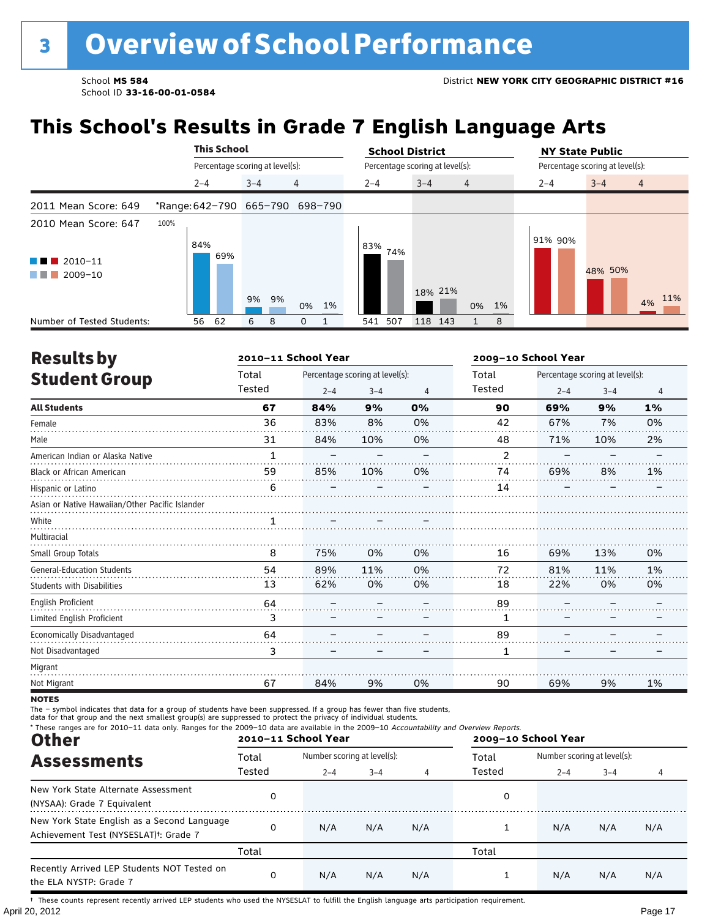# **This School's Results in Grade 7 English Language Arts**

|                                                                                           |                                 | <b>This School</b> |                                 |                |         |     | <b>School District</b>          |                |         | <b>NY State Public</b>          |                |  |  |
|-------------------------------------------------------------------------------------------|---------------------------------|--------------------|---------------------------------|----------------|---------|-----|---------------------------------|----------------|---------|---------------------------------|----------------|--|--|
|                                                                                           |                                 |                    | Percentage scoring at level(s): |                |         |     | Percentage scoring at level(s): |                |         | Percentage scoring at level(s): |                |  |  |
|                                                                                           | $2 - 4$                         |                    | $3 - 4$                         | $\overline{4}$ | $2 - 4$ |     | $3 - 4$                         | $\overline{4}$ | $2 - 4$ | $3 - 4$                         | $\overline{4}$ |  |  |
| 2011 Mean Score: 649                                                                      | *Range: 642-790 665-790 698-790 |                    |                                 |                |         |     |                                 |                |         |                                 |                |  |  |
| 2010 Mean Score: 647<br>$\blacksquare$ 2010-11<br>a sa na<br>2009-10<br><b>The Common</b> | 100%<br>84%                     | 69%                | 9% 9%                           | 0% 1%          | 83%     | 74% | 18% 21%                         | 0% 1%          | 91% 90% | 48% 50%                         | 11%<br>4%      |  |  |
| Number of Tested Students:                                                                | 56                              | 62                 | 6<br>8                          | 0              | 541     | 507 | 118<br>143                      | 8              |         |                                 |                |  |  |

| <b>Results by</b>                               |        | 2010-11 School Year |                                 |    | 2009-10 School Year |         |                                 |                |  |
|-------------------------------------------------|--------|---------------------|---------------------------------|----|---------------------|---------|---------------------------------|----------------|--|
| <b>Student Group</b>                            | Total  |                     | Percentage scoring at level(s): |    | Total               |         | Percentage scoring at level(s): |                |  |
|                                                 | Tested | $2 - 4$             | $3 - 4$                         | 4  | Tested              | $2 - 4$ | $3 - 4$                         | $\overline{4}$ |  |
| <b>All Students</b>                             | 67     | 84%                 | 9%                              | 0% | 90                  | 69%     | 9%                              | 1%             |  |
| Female                                          | 36     | 83%                 | 8%                              | 0% | 42                  | 67%     | 7%                              | 0%             |  |
| Male                                            | 31     | 84%                 | 10%                             | 0% | 48                  | 71%     | 10%                             | 2%             |  |
| American Indian or Alaska Native                | 1      |                     |                                 |    | $\overline{2}$      |         |                                 |                |  |
| <b>Black or African American</b>                | 59     | 85%                 | 10%                             | 0% | 74                  | 69%     | 8%                              | 1%             |  |
| Hispanic or Latino                              | 6      |                     |                                 |    | 14                  |         |                                 |                |  |
| Asian or Native Hawaiian/Other Pacific Islander |        |                     |                                 |    |                     |         |                                 |                |  |
| White                                           |        |                     |                                 |    |                     |         |                                 |                |  |
| Multiracial                                     |        |                     |                                 |    |                     |         |                                 |                |  |
| Small Group Totals                              | 8      | 75%                 | 0%                              | 0% | 16                  | 69%     | 13%                             | 0%             |  |
| <b>General-Education Students</b>               | 54     | 89%                 | 11%                             | 0% | 72                  | 81%     | 11%                             | 1%             |  |
| <b>Students with Disabilities</b>               | 13     | 62%                 | 0%                              | 0% | 18                  | 22%     | 0%                              | 0%             |  |
| <b>English Proficient</b>                       | 64     |                     |                                 |    | 89                  |         |                                 |                |  |
| Limited English Proficient                      | 3      |                     |                                 |    | 1                   |         |                                 |                |  |
| Economically Disadvantaged                      | 64     |                     |                                 |    | 89                  |         |                                 |                |  |
| Not Disadvantaged                               | 3      |                     |                                 |    | 1                   |         |                                 |                |  |
| Migrant                                         |        |                     |                                 |    |                     |         |                                 |                |  |
| Not Migrant                                     | 67     | 84%                 | 9%                              | 0% | 90                  | 69%     | 9%                              | 1%             |  |

**NOTES** 

The – symbol indicates that data for a group of students have been suppressed. If a group has fewer than five students,<br>data for that group and the next smallest group(s) are suppressed to protect the privacy of individual

| * These ranges are for 2010-11 data only. Ranges for the 2009-10 data are available in the 2009-10 Accountability and Overview Reports.<br><b>Other</b> |        | 2010-11 School Year         |         |     | 2009-10 School Year |                             |         |     |  |
|---------------------------------------------------------------------------------------------------------------------------------------------------------|--------|-----------------------------|---------|-----|---------------------|-----------------------------|---------|-----|--|
| <b>Assessments</b>                                                                                                                                      | Total  | Number scoring at level(s): |         |     | Total               | Number scoring at level(s): |         |     |  |
|                                                                                                                                                         | Tested | $2 - 4$                     | $3 - 4$ |     | Tested              | $2 - 4$                     | $3 - 4$ |     |  |
| New York State Alternate Assessment<br>(NYSAA): Grade 7 Equivalent                                                                                      | 0      |                             |         |     | 0                   |                             |         |     |  |
| New York State English as a Second Language<br>Achievement Test (NYSESLAT) <sup>t</sup> : Grade 7                                                       | 0      | N/A                         | N/A     | N/A |                     | N/A                         | N/A     | N/A |  |
|                                                                                                                                                         | Total  |                             |         |     | Total               |                             |         |     |  |
| Recently Arrived LEP Students NOT Tested on<br>the ELA NYSTP: Grade 7                                                                                   | 0      | N/A                         | N/A     | N/A |                     | N/A                         | N/A     | N/A |  |

April 20, 2012 Page 17 † These counts represent recently arrived LEP students who used the NYSESLAT to fulfill the English language arts participation requirement.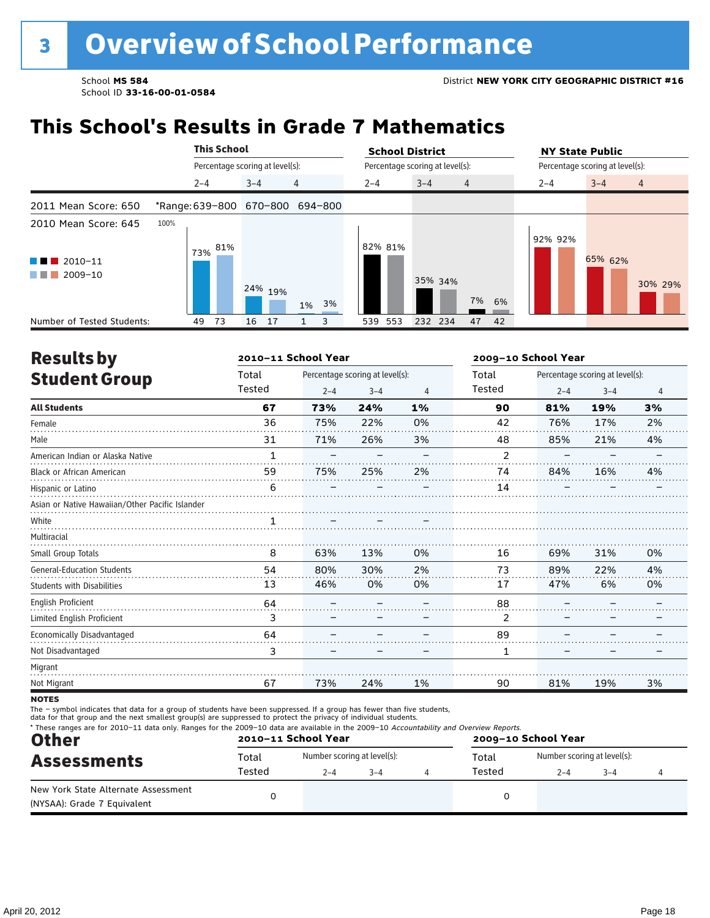### **This School's Results in Grade 7 Mathematics**

|                                                                                                                                                                                    |      | <b>This School</b>              |     |         |    |                                 | <b>School District</b>          |         |                |          |         | <b>NY State Public</b>          |                |
|------------------------------------------------------------------------------------------------------------------------------------------------------------------------------------|------|---------------------------------|-----|---------|----|---------------------------------|---------------------------------|---------|----------------|----------|---------|---------------------------------|----------------|
|                                                                                                                                                                                    |      | Percentage scoring at level(s): |     |         |    |                                 | Percentage scoring at level(s): |         |                |          |         | Percentage scoring at level(s): |                |
|                                                                                                                                                                                    |      | $2 - 4$                         |     | $3 - 4$ |    | 4                               | $2 - 4$                         | $3 - 4$ | $\overline{4}$ |          | $2 - 4$ | $3 - 4$                         | $\overline{4}$ |
| 2011 Mean Score: 650                                                                                                                                                               |      |                                 |     |         |    | *Range: 639-800 670-800 694-800 |                                 |         |                |          |         |                                 |                |
| 2010 Mean Score: 645<br>$\blacksquare$ 2010-11<br>a kacamatan ing Kabupatèn Kabupatèn Ing Kabupatèn Ing Kabupatèn Kabupatèn Kabupatèn Kabupatèn Kabupatèn Kabupa<br>2009-10<br>. . | 100% | 73%                             | 81% | 24% 19% |    | 1% 3%                           | 82% 81%                         | 35% 34% |                | 7%<br>6% | 92% 92% | 65% 62%                         | 30% 29%        |
| Number of Tested Students:                                                                                                                                                         |      | 73<br>49                        |     | 16      | 17 | 3                               | 539 553                         | 232 234 |                | 42<br>47 |         |                                 |                |

| <b>Results by</b>                               |              | 2010-11 School Year |                                 |    | 2009-10 School Year |         |                                 |                |
|-------------------------------------------------|--------------|---------------------|---------------------------------|----|---------------------|---------|---------------------------------|----------------|
| <b>Student Group</b>                            | Total        |                     | Percentage scoring at level(s): |    | Total               |         | Percentage scoring at level(s): |                |
|                                                 | Tested       | $2 - 4$             | $3 - 4$                         | 4  | Tested              | $2 - 4$ | $3 - 4$                         | $\overline{4}$ |
| <b>All Students</b>                             | 67           | 73%                 | 24%                             | 1% | 90                  | 81%     | 19%                             | 3%             |
| Female                                          | 36           | 75%                 | 22%                             | 0% | 42                  | 76%     | 17%                             | 2%             |
| Male                                            | 31           | 71%                 | 26%                             | 3% | 48                  | 85%     | 21%                             | 4%             |
| American Indian or Alaska Native                | $\mathbf{1}$ |                     |                                 |    | $\mathcal{P}$       |         |                                 |                |
| <b>Black or African American</b>                | 59           | 75%                 | 25%                             | 2% | 74                  | 84%     | 16%                             | 4%             |
| Hispanic or Latino                              | 6            |                     |                                 |    | 14                  |         |                                 |                |
| Asian or Native Hawaiian/Other Pacific Islander |              |                     |                                 |    |                     |         |                                 |                |
| White                                           | 1            |                     |                                 |    |                     |         |                                 |                |
| Multiracial                                     |              |                     |                                 |    |                     |         |                                 |                |
| Small Group Totals                              | 8            | 63%                 | 13%                             | 0% | 16                  | 69%     | 31%                             | 0%             |
| <b>General-Education Students</b>               | 54           | 80%                 | 30%                             | 2% | 73                  | 89%     | 22%                             | 4%             |
| <b>Students with Disabilities</b>               | 13           | 46%                 | 0%                              | 0% | 17                  | 47%     | 6%                              | 0%             |
| English Proficient                              | 64           |                     |                                 |    | 88                  |         |                                 |                |
| Limited English Proficient                      | 3            |                     |                                 |    | 2                   |         |                                 |                |
| Economically Disadvantaged                      | 64           |                     |                                 |    | 89                  |         |                                 |                |
| Not Disadvantaged                               | 3            |                     |                                 |    | 1                   |         |                                 |                |
| Migrant                                         |              |                     |                                 |    |                     |         |                                 |                |
| Not Migrant                                     | 67           | 73%                 | 24%                             | 1% | 90                  | 81%     | 19%                             | 3%             |
|                                                 |              |                     |                                 |    |                     |         |                                 |                |

**NOTES** 

The – symbol indicates that data for a group of students have been suppressed. If a group has fewer than five students,<br>data for that group and the next smallest group(s) are suppressed to protect the privacy of individual

| <b>Other</b>                                                       |        | 2010-11 School Year         |         |        | 2009-10 School Year         |         |  |  |
|--------------------------------------------------------------------|--------|-----------------------------|---------|--------|-----------------------------|---------|--|--|
| <b>Assessments</b>                                                 | Total  | Number scoring at level(s): |         | Total  | Number scoring at level(s): |         |  |  |
|                                                                    | Tested | $2 - 4$                     | $3 - 4$ | Tested | $2 - 4$                     | $3 - 4$ |  |  |
| New York State Alternate Assessment<br>(NYSAA): Grade 7 Equivalent |        |                             |         |        |                             |         |  |  |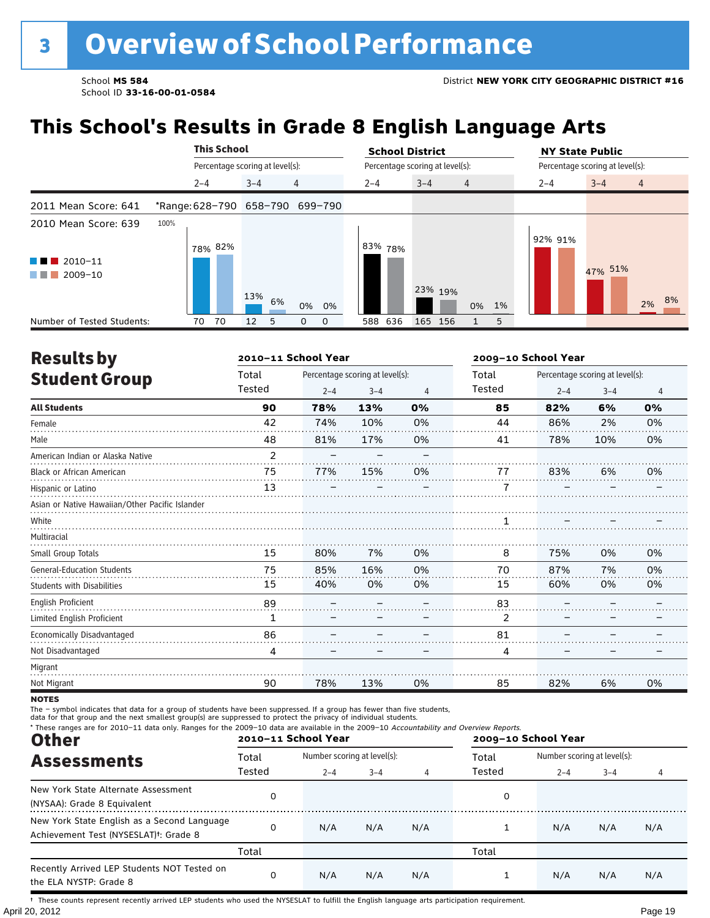# **This School's Results in Grade 8 English Language Arts**

|                                                                                                   |                                 | <b>This School</b> |                                 |    |       |         | <b>School District</b>          |         |                |    |         | <b>NY State Public</b>          |                |    |
|---------------------------------------------------------------------------------------------------|---------------------------------|--------------------|---------------------------------|----|-------|---------|---------------------------------|---------|----------------|----|---------|---------------------------------|----------------|----|
|                                                                                                   |                                 |                    | Percentage scoring at level(s): |    |       |         | Percentage scoring at level(s): |         |                |    |         | Percentage scoring at level(s): |                |    |
|                                                                                                   | $2 - 4$                         |                    | $3 - 4$                         | 4  |       | $2 - 4$ |                                 | $3 - 4$ | $\overline{4}$ |    | $2 - 4$ | $3 - 4$                         | $\overline{4}$ |    |
| 2011 Mean Score: 641                                                                              | *Range: 628-790 658-790 699-790 |                    |                                 |    |       |         |                                 |         |                |    |         |                                 |                |    |
| 2010 Mean Score: 639<br>$\blacksquare$ 2010-11<br>and the control<br>2009-10<br><b>The Common</b> | 100%                            | 78% 82%            | 13%                             |    |       | 83%     | 78%                             | 23% 19% |                |    | 92% 91% | 47% 51%                         |                |    |
|                                                                                                   |                                 |                    |                                 | 6% | 0% 0% |         |                                 |         | 0%             | 1% |         |                                 | 2%             | 8% |
| Number of Tested Students:                                                                        | 70                              | 70                 | 12<br>5                         | 0  | 0     | 588     | 636                             | 165 156 |                | 5  |         |                                 |                |    |

| <b>Results by</b>                               |                | 2010-11 School Year |                                 |    | 2009-10 School Year |         |                                 |                |
|-------------------------------------------------|----------------|---------------------|---------------------------------|----|---------------------|---------|---------------------------------|----------------|
| <b>Student Group</b>                            | Total          |                     | Percentage scoring at level(s): |    | Total               |         | Percentage scoring at level(s): |                |
|                                                 | Tested         | $2 - 4$             | $3 - 4$                         | 4  | Tested              | $2 - 4$ | $3 - 4$                         | $\overline{4}$ |
| <b>All Students</b>                             | 90             | 78%                 | 13%                             | 0% | 85                  | 82%     | 6%                              | 0%             |
| Female                                          | 42             | 74%                 | 10%                             | 0% | 44                  | 86%     | 2%                              | 0%             |
| Male                                            | 48             | 81%                 | 17%                             | 0% | 41                  | 78%     | 10%                             | 0%             |
| American Indian or Alaska Native                | $\overline{2}$ |                     |                                 |    |                     |         |                                 |                |
| <b>Black or African American</b>                | 75             | 77%                 | 15%                             | 0% | 77                  | 83%     | 6%                              | 0%             |
| Hispanic or Latino                              | 13             |                     |                                 |    | 7                   |         |                                 |                |
| Asian or Native Hawaiian/Other Pacific Islander |                |                     |                                 |    |                     |         |                                 |                |
| White                                           |                |                     |                                 |    |                     |         |                                 |                |
| Multiracial                                     |                |                     |                                 |    |                     |         |                                 |                |
| Small Group Totals                              | 15             | 80%                 | 7%                              | 0% | 8                   | 75%     | 0%                              | 0%             |
| <b>General-Education Students</b>               | 75             | 85%                 | 16%                             | 0% | 70                  | 87%     | 7%                              | 0%             |
| <b>Students with Disabilities</b>               | 15             | 40%                 | 0%                              | 0% | 15                  | 60%     | 0%                              | 0%             |
| English Proficient                              | 89             |                     |                                 |    | 83                  |         |                                 |                |
| Limited English Proficient                      | 1              |                     |                                 |    | 2                   |         |                                 |                |
| Economically Disadvantaged                      | 86             |                     |                                 |    | 81                  |         |                                 |                |
| Not Disadvantaged                               | 4              |                     |                                 |    | 4                   |         |                                 |                |
| Migrant                                         |                |                     |                                 |    |                     |         |                                 |                |
| Not Migrant                                     | 90             | 78%                 | 13%                             | 0% | 85                  | 82%     | 6%                              | 0%             |

**NOTES** 

The – symbol indicates that data for a group of students have been suppressed. If a group has fewer than five students,<br>data for that group and the next smallest group(s) are suppressed to protect the privacy of individual

| * These ranges are for 2010-11 data only. Ranges for the 2009-10 data are available in the 2009-10 Accountability and Overview Reports.<br><b>Other</b> |        | 2010-11 School Year         |         |     |        | 2009-10 School Year         |         |     |  |
|---------------------------------------------------------------------------------------------------------------------------------------------------------|--------|-----------------------------|---------|-----|--------|-----------------------------|---------|-----|--|
| <b>Assessments</b>                                                                                                                                      | Total  | Number scoring at level(s): |         |     | Total  | Number scoring at level(s): |         |     |  |
|                                                                                                                                                         | Tested | $2 - 4$                     | $3 - 4$ | 4   | Tested | $2 - 4$                     | $3 - 4$ | 4   |  |
| New York State Alternate Assessment<br>(NYSAA): Grade 8 Equivalent                                                                                      | 0      |                             |         |     | 0      |                             |         |     |  |
| New York State English as a Second Language<br>Achievement Test (NYSESLAT) <sup>+</sup> : Grade 8                                                       | 0      | N/A                         | N/A     | N/A |        | N/A                         | N/A     | N/A |  |
|                                                                                                                                                         | Total  |                             |         |     | Total  |                             |         |     |  |
| Recently Arrived LEP Students NOT Tested on<br>the ELA NYSTP: Grade 8                                                                                   | 0      | N/A                         | N/A     | N/A |        | N/A                         | N/A     | N/A |  |

April 20, 2012 Page 19 † These counts represent recently arrived LEP students who used the NYSESLAT to fulfill the English language arts participation requirement.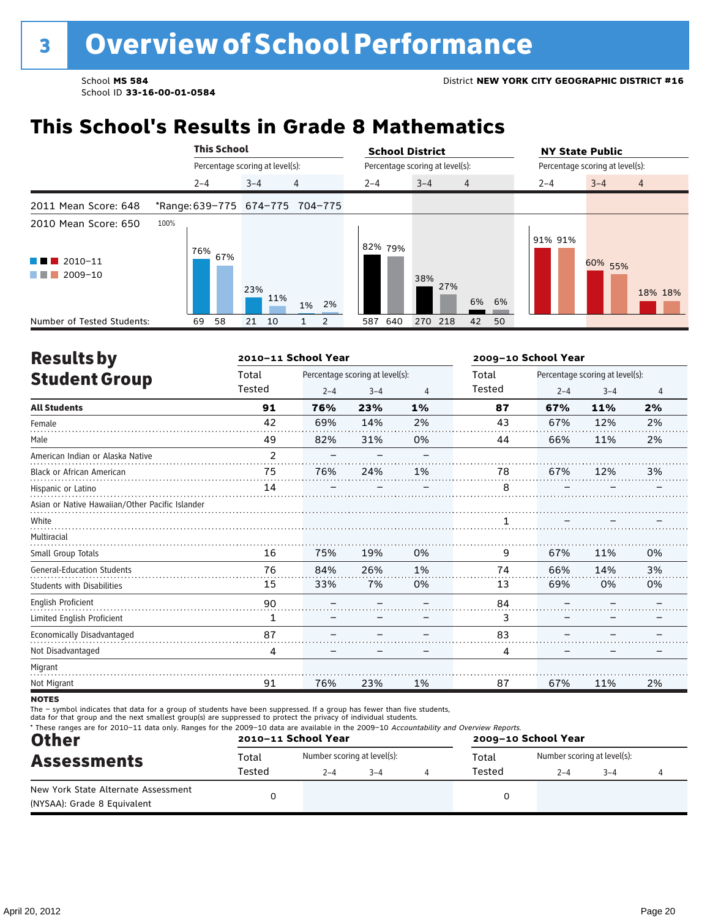### **This School's Results in Grade 8 Mathematics**

|                                                                                               |      |         | <b>This School</b>              |         |     |                                 | <b>School District</b>          |            |                |    | <b>NY State Public</b>          |         |                |
|-----------------------------------------------------------------------------------------------|------|---------|---------------------------------|---------|-----|---------------------------------|---------------------------------|------------|----------------|----|---------------------------------|---------|----------------|
|                                                                                               |      |         | Percentage scoring at level(s): |         |     |                                 | Percentage scoring at level(s): |            |                |    | Percentage scoring at level(s): |         |                |
|                                                                                               |      | $2 - 4$ |                                 | $3 - 4$ |     | 4                               | $2 - 4$                         | $3 - 4$    | $\overline{4}$ |    | $2 - 4$                         | $3 - 4$ | $\overline{4}$ |
| 2011 Mean Score: 648                                                                          |      |         |                                 |         |     | *Range: 639-775 674-775 704-775 |                                 |            |                |    |                                 |         |                |
| 2010 Mean Score: 650<br>$\blacksquare$ 2010-11<br><b>TERRITORIA</b><br>$2009 - 10$<br>a sa na | 100% | 76%     | 67%                             | 23%     | 11% | 2%<br>1%                        | 82% 79%                         | 38%<br>27% | 6%             | 6% | 91% 91%                         | 60% 55% | 18% 18%        |
| Number of Tested Students:                                                                    |      | 69      | 58                              | 21      | 10  | 2                               | 640<br>587                      | 270 218    | 42             | 50 |                                 |         |                |

| <b>Results by</b>                               |                | 2010-11 School Year |                                 |    | 2009-10 School Year |         |                                 |    |
|-------------------------------------------------|----------------|---------------------|---------------------------------|----|---------------------|---------|---------------------------------|----|
| <b>Student Group</b>                            | Total          |                     | Percentage scoring at level(s): |    | Total               |         | Percentage scoring at level(s): |    |
|                                                 | Tested         | $2 - 4$             | $3 - 4$                         | 4  | Tested              | $2 - 4$ | $3 - 4$                         | 4  |
| <b>All Students</b>                             | 91             | 76%                 | 23%                             | 1% | 87                  | 67%     | 11%                             | 2% |
| Female                                          | 42             | 69%                 | 14%                             | 2% | 43                  | 67%     | 12%                             | 2% |
| Male                                            | 49             | 82%                 | 31%                             | 0% | 44                  | 66%     | 11%                             | 2% |
| American Indian or Alaska Native                | $\overline{2}$ |                     |                                 |    |                     |         |                                 |    |
| <b>Black or African American</b>                | 75             | 76%                 | 24%                             | 1% | 78                  | 67%     | 12%                             | 3% |
| Hispanic or Latino                              | 14             |                     |                                 |    | 8                   |         |                                 |    |
| Asian or Native Hawaiian/Other Pacific Islander |                |                     |                                 |    |                     |         |                                 |    |
| White                                           |                |                     |                                 |    |                     |         |                                 |    |
| Multiracial                                     |                |                     |                                 |    |                     |         |                                 |    |
| Small Group Totals                              | 16             | 75%                 | 19%                             | 0% | 9                   | 67%     | 11%                             | 0% |
| <b>General-Education Students</b>               | 76             | 84%                 | 26%                             | 1% | 74                  | 66%     | 14%                             | 3% |
| <b>Students with Disabilities</b>               | 15             | 33%                 | 7%                              | 0% | 13                  | 69%     | 0%                              | 0% |
| <b>English Proficient</b>                       | 90             |                     |                                 |    | 84                  |         |                                 |    |
| Limited English Proficient                      | 1              |                     |                                 |    | 3                   |         |                                 |    |
| Economically Disadvantaged                      | 87             |                     |                                 |    | 83                  |         |                                 |    |
| Not Disadvantaged                               | 4              |                     |                                 |    | 4                   |         |                                 |    |
| Migrant                                         |                |                     |                                 |    |                     |         |                                 |    |
| Not Migrant                                     | 91             | 76%                 | 23%                             | 1% | 87                  | 67%     | 11%                             | 2% |
|                                                 |                |                     |                                 |    |                     |         |                                 |    |

**NOTES** 

The – symbol indicates that data for a group of students have been suppressed. If a group has fewer than five students,

data for that group and the next smallest group(s) are suppressed to protect the privacy of individual students.

| <b>Other</b>                                                       |        | 2010-11 School Year         |         |        | 2009-10 School Year         |         |  |
|--------------------------------------------------------------------|--------|-----------------------------|---------|--------|-----------------------------|---------|--|
| <b>Assessments</b>                                                 | Total  | Number scoring at level(s): |         | Total  | Number scoring at level(s): |         |  |
|                                                                    | Tested | $2 - 4$                     | $3 - 4$ | Tested | $2 - 4$                     | $3 - 4$ |  |
| New York State Alternate Assessment<br>(NYSAA): Grade 8 Equivalent |        |                             |         |        |                             |         |  |